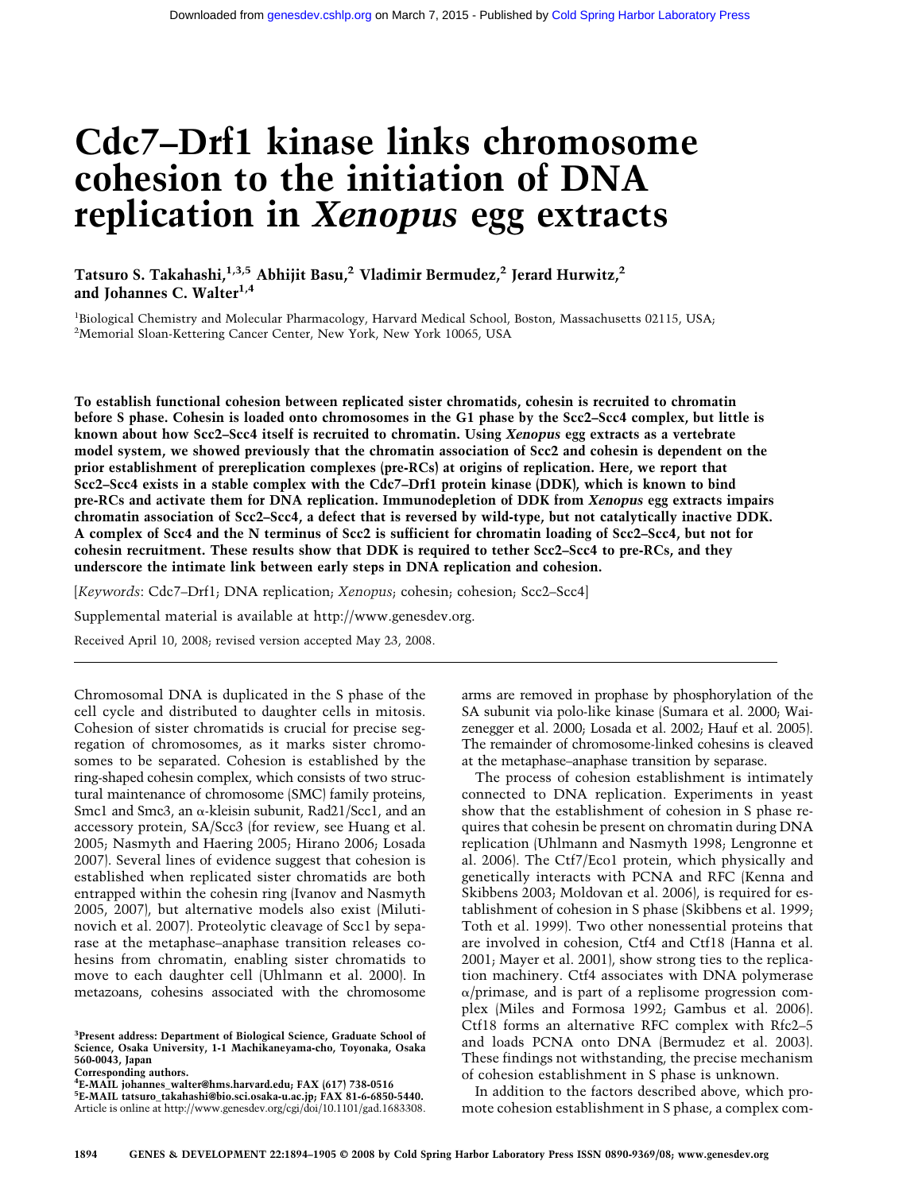# **Cdc7–Drf1 kinase links chromosome cohesion to the initiation of DNA replication in** *Xenopus* **egg extracts**

**Tatsuro S. Takahashi,1,3,5 Abhijit Basu,2 Vladimir Bermudez,2 Jerard Hurwitz,2** and Johannes C. Walter<sup>1,4</sup>

<sup>1</sup>Biological Chemistry and Molecular Pharmacology, Harvard Medical School, Boston, Massachusetts 02115, USA; <sup>2</sup>Memorial Sloan-Kettering Cancer Center, New York, New York 10065, USA

**To establish functional cohesion between replicated sister chromatids, cohesin is recruited to chromatin before S phase. Cohesin is loaded onto chromosomes in the G1 phase by the Scc2–Scc4 complex, but little is known about how Scc2–Scc4 itself is recruited to chromatin. Using** *Xenopus* **egg extracts as a vertebrate model system, we showed previously that the chromatin association of Scc2 and cohesin is dependent on the prior establishment of prereplication complexes (pre-RCs) at origins of replication. Here, we report that Scc2–Scc4 exists in a stable complex with the Cdc7–Drf1 protein kinase (DDK), which is known to bind pre-RCs and activate them for DNA replication. Immunodepletion of DDK from** *Xenopus* **egg extracts impairs chromatin association of Scc2–Scc4, a defect that is reversed by wild-type, but not catalytically inactive DDK. A complex of Scc4 and the N terminus of Scc2 is sufficient for chromatin loading of Scc2–Scc4, but not for cohesin recruitment. These results show that DDK is required to tether Scc2–Scc4 to pre-RCs, and they underscore the intimate link between early steps in DNA replication and cohesion.**

[*Keywords*: Cdc7–Drf1; DNA replication; *Xenopus*; cohesin; cohesion; Scc2–Scc4]

Supplemental material is available at http://www.genesdev.org.

Received April 10, 2008; revised version accepted May 23, 2008.

Chromosomal DNA is duplicated in the S phase of the cell cycle and distributed to daughter cells in mitosis. Cohesion of sister chromatids is crucial for precise segregation of chromosomes, as it marks sister chromosomes to be separated. Cohesion is established by the ring-shaped cohesin complex, which consists of two structural maintenance of chromosome (SMC) family proteins, Smc1 and Smc3, an  $\alpha$ -kleisin subunit, Rad21/Scc1, and an accessory protein, SA/Scc3 (for review, see Huang et al. 2005; Nasmyth and Haering 2005; Hirano 2006; Losada 2007). Several lines of evidence suggest that cohesion is established when replicated sister chromatids are both entrapped within the cohesin ring (Ivanov and Nasmyth 2005, 2007), but alternative models also exist (Milutinovich et al. 2007). Proteolytic cleavage of Scc1 by separase at the metaphase–anaphase transition releases cohesins from chromatin, enabling sister chromatids to move to each daughter cell (Uhlmann et al. 2000). In metazoans, cohesins associated with the chromosome

**Corresponding authors.**

**4 E-MAIL johannes\_walter@hms.harvard.edu; FAX (617) 738-0516 5 E-MAIL tatsuro\_takahashi@bio.sci.osaka-u.ac.jp; FAX 81-6-6850-5440.** Article is online at http://www.genesdev.org/cgi/doi/10.1101/gad.1683308. arms are removed in prophase by phosphorylation of the SA subunit via polo-like kinase (Sumara et al. 2000; Waizenegger et al. 2000; Losada et al. 2002; Hauf et al. 2005). The remainder of chromosome-linked cohesins is cleaved at the metaphase–anaphase transition by separase.

The process of cohesion establishment is intimately connected to DNA replication. Experiments in yeast show that the establishment of cohesion in S phase requires that cohesin be present on chromatin during DNA replication (Uhlmann and Nasmyth 1998; Lengronne et al. 2006). The Ctf7/Eco1 protein, which physically and genetically interacts with PCNA and RFC (Kenna and Skibbens 2003; Moldovan et al. 2006), is required for establishment of cohesion in S phase (Skibbens et al. 1999; Toth et al. 1999). Two other nonessential proteins that are involved in cohesion, Ctf4 and Ctf18 (Hanna et al. 2001; Mayer et al. 2001), show strong ties to the replication machinery. Ctf4 associates with DNA polymerase  $\alpha$ /primase, and is part of a replisome progression complex (Miles and Formosa 1992; Gambus et al. 2006). Ctf18 forms an alternative RFC complex with Rfc2–5 and loads PCNA onto DNA (Bermudez et al. 2003). These findings not withstanding, the precise mechanism of cohesion establishment in S phase is unknown.

In addition to the factors described above, which promote cohesion establishment in S phase, a complex com-

**<sup>3</sup> Present address: Department of Biological Science, Graduate School of Science, Osaka University, 1-1 Machikaneyama-cho, Toyonaka, Osaka 560-0043, Japan**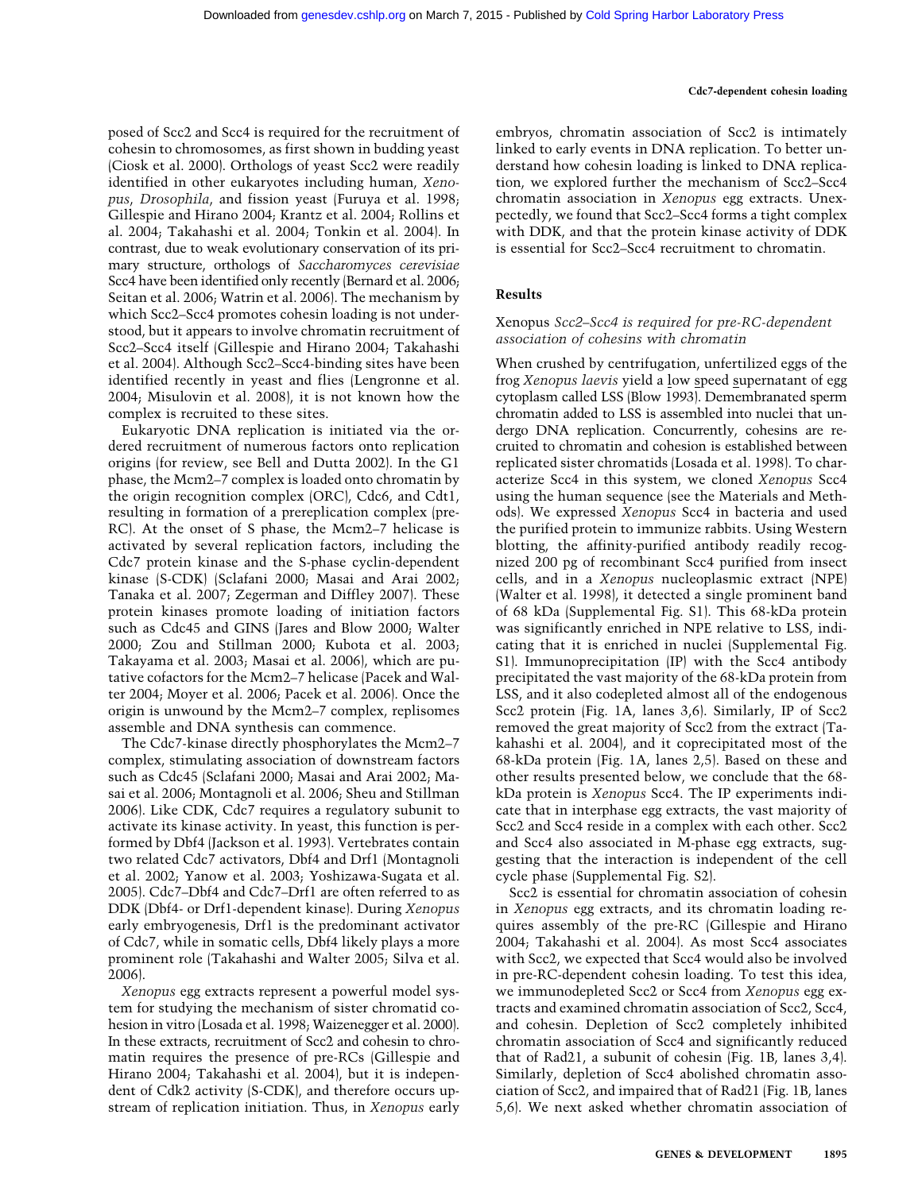posed of Scc2 and Scc4 is required for the recruitment of cohesin to chromosomes, as first shown in budding yeast (Ciosk et al. 2000). Orthologs of yeast Scc2 were readily identified in other eukaryotes including human, *Xenopus*, *Drosophila*, and fission yeast (Furuya et al. 1998; Gillespie and Hirano 2004; Krantz et al. 2004; Rollins et al. 2004; Takahashi et al. 2004; Tonkin et al. 2004). In contrast, due to weak evolutionary conservation of its primary structure, orthologs of *Saccharomyces cerevisiae* Scc4 have been identified only recently (Bernard et al. 2006; Seitan et al. 2006; Watrin et al. 2006). The mechanism by which Scc2–Scc4 promotes cohesin loading is not understood, but it appears to involve chromatin recruitment of Scc2–Scc4 itself (Gillespie and Hirano 2004; Takahashi et al. 2004). Although Scc2–Scc4-binding sites have been identified recently in yeast and flies (Lengronne et al. 2004; Misulovin et al. 2008), it is not known how the complex is recruited to these sites.

Eukaryotic DNA replication is initiated via the ordered recruitment of numerous factors onto replication origins (for review, see Bell and Dutta 2002). In the G1 phase, the Mcm2–7 complex is loaded onto chromatin by the origin recognition complex (ORC), Cdc6, and Cdt1, resulting in formation of a prereplication complex (pre-RC). At the onset of S phase, the Mcm2–7 helicase is activated by several replication factors, including the Cdc7 protein kinase and the S-phase cyclin-dependent kinase (S-CDK) (Sclafani 2000; Masai and Arai 2002; Tanaka et al. 2007; Zegerman and Diffley 2007). These protein kinases promote loading of initiation factors such as Cdc45 and GINS (Jares and Blow 2000; Walter 2000; Zou and Stillman 2000; Kubota et al. 2003; Takayama et al. 2003; Masai et al. 2006), which are putative cofactors for the Mcm2–7 helicase (Pacek and Walter 2004; Moyer et al. 2006; Pacek et al. 2006). Once the origin is unwound by the Mcm2–7 complex, replisomes assemble and DNA synthesis can commence.

The Cdc7-kinase directly phosphorylates the Mcm2–7 complex, stimulating association of downstream factors such as Cdc45 (Sclafani 2000; Masai and Arai 2002; Masai et al. 2006; Montagnoli et al. 2006; Sheu and Stillman 2006). Like CDK, Cdc7 requires a regulatory subunit to activate its kinase activity. In yeast, this function is performed by Dbf4 (Jackson et al. 1993). Vertebrates contain two related Cdc7 activators, Dbf4 and Drf1 (Montagnoli et al. 2002; Yanow et al. 2003; Yoshizawa-Sugata et al. 2005). Cdc7–Dbf4 and Cdc7–Drf1 are often referred to as DDK (Dbf4- or Drf1-dependent kinase). During *Xenopus* early embryogenesis, Drf1 is the predominant activator of Cdc7, while in somatic cells, Dbf4 likely plays a more prominent role (Takahashi and Walter 2005; Silva et al. 2006).

*Xenopus* egg extracts represent a powerful model system for studying the mechanism of sister chromatid cohesion in vitro (Losada et al. 1998; Waizenegger et al. 2000). In these extracts, recruitment of Scc2 and cohesin to chromatin requires the presence of pre-RCs (Gillespie and Hirano 2004; Takahashi et al. 2004), but it is independent of Cdk2 activity (S-CDK), and therefore occurs upstream of replication initiation. Thus, in *Xenopus* early embryos, chromatin association of Scc2 is intimately linked to early events in DNA replication. To better understand how cohesin loading is linked to DNA replication, we explored further the mechanism of Scc2–Scc4 chromatin association in *Xenopus* egg extracts. Unexpectedly, we found that Scc2–Scc4 forms a tight complex with DDK, and that the protein kinase activity of DDK is essential for Scc2–Scc4 recruitment to chromatin.

# **Results**

# Xenopus *Scc2–Scc4 is required for pre-RC-dependent association of cohesins with chromatin*

When crushed by centrifugation, unfertilized eggs of the frog *Xenopus laevis* yield a low speed supernatant of egg cytoplasm called LSS (Blow 1993). Demembranated sperm chromatin added to LSS is assembled into nuclei that undergo DNA replication. Concurrently, cohesins are recruited to chromatin and cohesion is established between replicated sister chromatids (Losada et al. 1998). To characterize Scc4 in this system, we cloned *Xenopus* Scc4 using the human sequence (see the Materials and Methods). We expressed *Xenopus* Scc4 in bacteria and used the purified protein to immunize rabbits. Using Western blotting, the affinity-purified antibody readily recognized 200 pg of recombinant Scc4 purified from insect cells, and in a *Xenopus* nucleoplasmic extract (NPE) (Walter et al. 1998), it detected a single prominent band of 68 kDa (Supplemental Fig. S1). This 68-kDa protein was significantly enriched in NPE relative to LSS, indicating that it is enriched in nuclei (Supplemental Fig. S1). Immunoprecipitation (IP) with the Scc4 antibody precipitated the vast majority of the 68-kDa protein from LSS, and it also codepleted almost all of the endogenous Scc2 protein (Fig. 1A, lanes 3,6). Similarly, IP of Scc2 removed the great majority of Scc2 from the extract (Takahashi et al. 2004), and it coprecipitated most of the 68-kDa protein (Fig. 1A, lanes 2,5). Based on these and other results presented below, we conclude that the 68 kDa protein is *Xenopus* Scc4. The IP experiments indicate that in interphase egg extracts, the vast majority of Scc2 and Scc4 reside in a complex with each other. Scc2 and Scc4 also associated in M-phase egg extracts, suggesting that the interaction is independent of the cell cycle phase (Supplemental Fig. S2).

Scc2 is essential for chromatin association of cohesin in *Xenopus* egg extracts, and its chromatin loading requires assembly of the pre-RC (Gillespie and Hirano 2004; Takahashi et al. 2004). As most Scc4 associates with Scc2, we expected that Scc4 would also be involved in pre-RC-dependent cohesin loading. To test this idea, we immunodepleted Scc2 or Scc4 from *Xenopus* egg extracts and examined chromatin association of Scc2, Scc4, and cohesin. Depletion of Scc2 completely inhibited chromatin association of Scc4 and significantly reduced that of Rad21, a subunit of cohesin (Fig. 1B, lanes 3,4). Similarly, depletion of Scc4 abolished chromatin association of Scc2, and impaired that of Rad21 (Fig. 1B, lanes 5,6). We next asked whether chromatin association of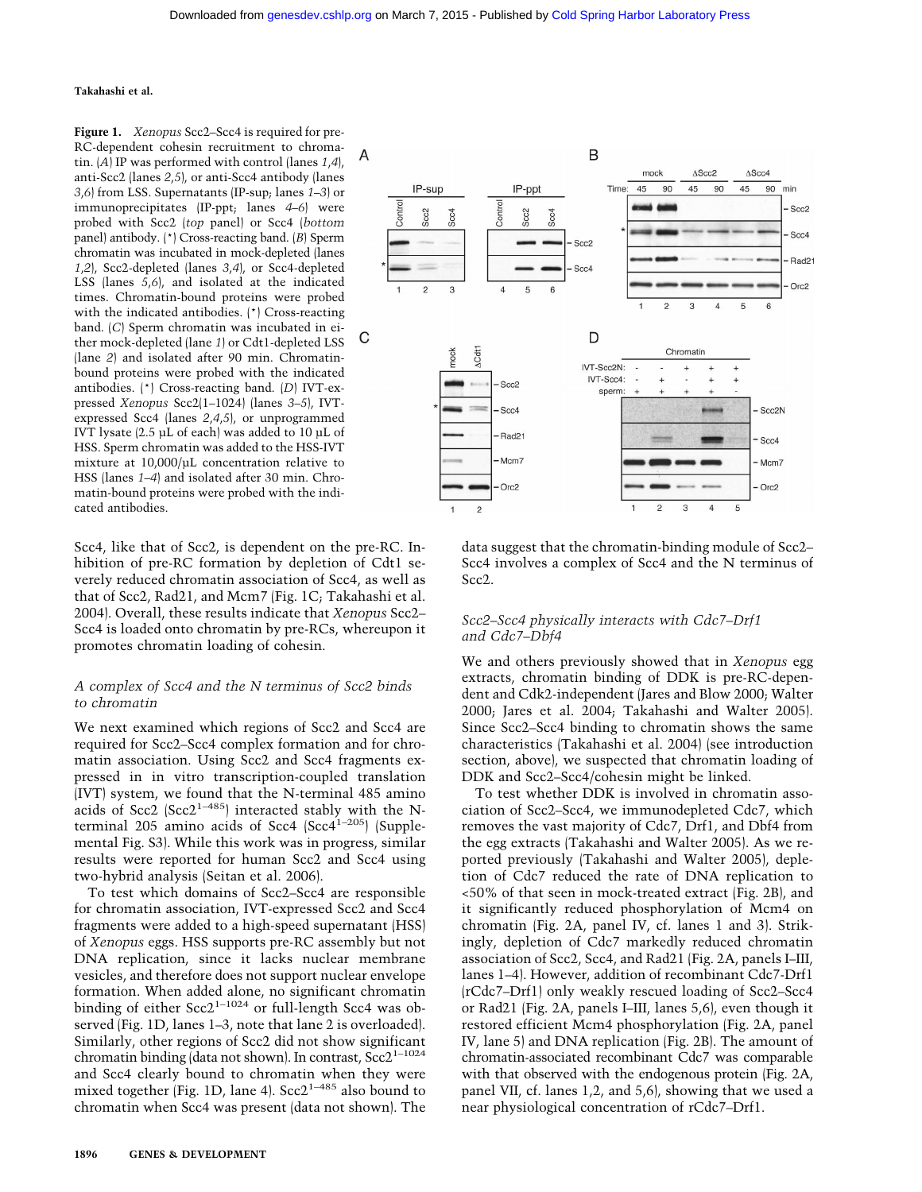**Figure 1.** *Xenopus* Scc2–Scc4 is required for pre-RC-dependent cohesin recruitment to chromatin. (*A*) IP was performed with control (lanes *1*,*4*), anti-Scc2 (lanes *2*,*5*), or anti-Scc4 antibody (lanes *3*,*6*) from LSS. Supernatants (IP-sup; lanes *1–3*) or immunoprecipitates (IP-ppt; lanes *4–6*) were probed with Scc2 (*top* panel) or Scc4 (*bottom* panel) antibody. (\*) Cross-reacting band. (*B*) Sperm chromatin was incubated in mock-depleted (lanes *1*,*2*), Scc2-depleted (lanes *3*,*4*), or Scc4-depleted LSS (lanes *5*,*6*), and isolated at the indicated times. Chromatin-bound proteins were probed with the indicated antibodies. (\*) Cross-reacting band. (*C*) Sperm chromatin was incubated in either mock-depleted (lane *1*) or Cdt1-depleted LSS (lane *2*) and isolated after 90 min. Chromatinbound proteins were probed with the indicated antibodies. (\*) Cross-reacting band. (*D*) IVT-expressed *Xenopus* Scc2(1–1024) (lanes *3–5*), IVTexpressed Scc4 (lanes *2*,*4*,*5*), or unprogrammed IVT lysate (2.5 µL of each) was added to 10 µL of HSS. Sperm chromatin was added to the HSS-IVT mixture at 10,000/µL concentration relative to HSS (lanes *1–4*) and isolated after 30 min. Chromatin-bound proteins were probed with the indicated antibodies.

Scc4, like that of Scc2, is dependent on the pre-RC. Inhibition of pre-RC formation by depletion of Cdt1 severely reduced chromatin association of Scc4, as well as that of Scc2, Rad21, and Mcm7 (Fig. 1C; Takahashi et al. 2004). Overall, these results indicate that *Xenopus* Scc2– Scc4 is loaded onto chromatin by pre-RCs, whereupon it promotes chromatin loading of cohesin.

# *A complex of Scc4 and the N terminus of Scc2 binds to chromatin*

We next examined which regions of Scc2 and Scc4 are required for Scc2–Scc4 complex formation and for chromatin association. Using Scc2 and Scc4 fragments expressed in in vitro transcription-coupled translation (IVT) system, we found that the N-terminal 485 amino acids of Scc2 (Scc2<sup>1-485</sup>) interacted stably with the Nterminal 205 amino acids of Scc4  $(Scc4<sup>1-205</sup>)$  (Supplemental Fig. S3). While this work was in progress, similar results were reported for human Scc2 and Scc4 using two-hybrid analysis (Seitan et al. 2006).

To test which domains of Scc2–Scc4 are responsible for chromatin association, IVT-expressed Scc2 and Scc4 fragments were added to a high-speed supernatant (HSS) of *Xenopus* eggs. HSS supports pre-RC assembly but not DNA replication, since it lacks nuclear membrane vesicles, and therefore does not support nuclear envelope formation. When added alone, no significant chromatin binding of either  $Scc2^{1-1024}$  or full-length Scc4 was observed (Fig. 1D, lanes 1–3, note that lane 2 is overloaded). Similarly, other regions of Scc2 did not show significant chromatin binding (data not shown). In contrast, Scc2<sup>1-1024</sup> and Scc4 clearly bound to chromatin when they were mixed together (Fig. 1D, lane 4). Scc2<sup>1-485</sup> also bound to chromatin when Scc4 was present (data not shown). The



data suggest that the chromatin-binding module of Scc2– Scc4 involves a complex of Scc4 and the N terminus of Scc2.

# *Scc2–Scc4 physically interacts with Cdc7–Drf1 and Cdc7–Dbf4*

We and others previously showed that in *Xenopus* egg extracts, chromatin binding of DDK is pre-RC-dependent and Cdk2-independent (Jares and Blow 2000; Walter 2000; Jares et al. 2004; Takahashi and Walter 2005). Since Scc2–Scc4 binding to chromatin shows the same characteristics (Takahashi et al. 2004) (see introduction section, above), we suspected that chromatin loading of DDK and Scc2–Scc4/cohesin might be linked.

To test whether DDK is involved in chromatin association of Scc2–Scc4, we immunodepleted Cdc7, which removes the vast majority of Cdc7, Drf1, and Dbf4 from the egg extracts (Takahashi and Walter 2005). As we reported previously (Takahashi and Walter 2005), depletion of Cdc7 reduced the rate of DNA replication to <50% of that seen in mock-treated extract (Fig. 2B), and it significantly reduced phosphorylation of Mcm4 on chromatin (Fig. 2A, panel IV, cf. lanes 1 and 3). Strikingly, depletion of Cdc7 markedly reduced chromatin association of Scc2, Scc4, and Rad21 (Fig. 2A, panels I–III, lanes 1–4). However, addition of recombinant Cdc7-Drf1 (rCdc7–Drf1) only weakly rescued loading of Scc2–Scc4 or Rad21 (Fig. 2A, panels I–III, lanes 5,6), even though it restored efficient Mcm4 phosphorylation (Fig. 2A, panel IV, lane 5) and DNA replication (Fig. 2B). The amount of chromatin-associated recombinant Cdc7 was comparable with that observed with the endogenous protein (Fig. 2A, panel VII, cf. lanes 1,2, and 5,6), showing that we used a near physiological concentration of rCdc7–Drf1.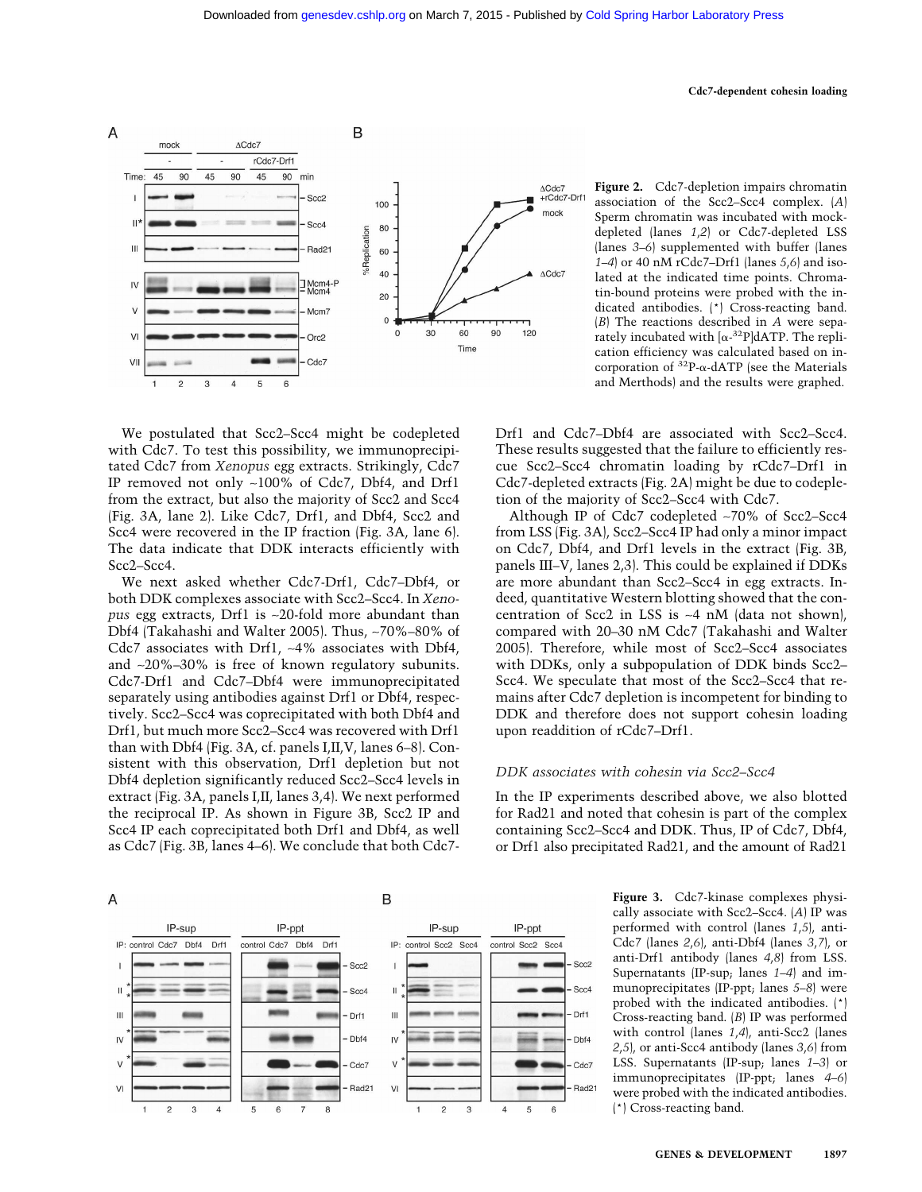

**Figure 2.** Cdc7-depletion impairs chromatin association of the Scc2–Scc4 complex. (*A*) Sperm chromatin was incubated with mockdepleted (lanes *1*,*2*) or Cdc7-depleted LSS (lanes *3–6*) supplemented with buffer (lanes *1–4*) or 40 nM rCdc7–Drf1 (lanes *5*,*6*) and isolated at the indicated time points. Chromatin-bound proteins were probed with the indicated antibodies. (\*) Cross-reacting band. (*B*) The reactions described in *A* were separately incubated with  $[\alpha^{-32}P]dATP$ . The replication efficiency was calculated based on incorporation of  $32P$ - $\alpha$ -dATP (see the Materials and Merthods) and the results were graphed.

We postulated that Scc2–Scc4 might be codepleted with Cdc7. To test this possibility, we immunoprecipitated Cdc7 from *Xenopus* egg extracts. Strikingly, Cdc7 IP removed not only ∼100% of Cdc7, Dbf4, and Drf1 from the extract, but also the majority of Scc2 and Scc4 (Fig. 3A, lane 2). Like Cdc7, Drf1, and Dbf4, Scc2 and Scc4 were recovered in the IP fraction (Fig. 3A, lane 6). The data indicate that DDK interacts efficiently with Scc2–Scc4.

We next asked whether Cdc7-Drf1, Cdc7–Dbf4, or both DDK complexes associate with Scc2–Scc4. In *Xenopus* egg extracts, Drf1 is ∼20-fold more abundant than Dbf4 (Takahashi and Walter 2005). Thus, ∼70%–80% of Cdc7 associates with Drf1, ∼4% associates with Dbf4, and ∼20%–30% is free of known regulatory subunits. Cdc7-Drf1 and Cdc7–Dbf4 were immunoprecipitated separately using antibodies against Drf1 or Dbf4, respectively. Scc2–Scc4 was coprecipitated with both Dbf4 and Drf1, but much more Scc2–Scc4 was recovered with Drf1 than with Dbf4 (Fig. 3A, cf. panels I,II,V, lanes 6–8). Consistent with this observation, Drf1 depletion but not Dbf4 depletion significantly reduced Scc2–Scc4 levels in extract (Fig. 3A, panels I,II, lanes 3,4). We next performed the reciprocal IP. As shown in Figure 3B, Scc2 IP and Scc4 IP each coprecipitated both Drf1 and Dbf4, as well as Cdc7 (Fig. 3B, lanes 4–6). We conclude that both Cdc7Drf1 and Cdc7–Dbf4 are associated with Scc2–Scc4. These results suggested that the failure to efficiently rescue Scc2–Scc4 chromatin loading by rCdc7–Drf1 in Cdc7-depleted extracts (Fig. 2A) might be due to codepletion of the majority of Scc2–Scc4 with Cdc7.

Although IP of Cdc7 codepleted ∼70% of Scc2–Scc4 from LSS (Fig. 3A), Scc2–Scc4 IP had only a minor impact on Cdc7, Dbf4, and Drf1 levels in the extract (Fig. 3B, panels III–V, lanes 2,3). This could be explained if DDKs are more abundant than Scc2–Scc4 in egg extracts. Indeed, quantitative Western blotting showed that the concentration of Scc2 in LSS is ∼4 nM (data not shown), compared with 20–30 nM Cdc7 (Takahashi and Walter 2005). Therefore, while most of Scc2–Scc4 associates with DDKs, only a subpopulation of DDK binds Scc2– Scc4. We speculate that most of the Scc2–Scc4 that remains after Cdc7 depletion is incompetent for binding to DDK and therefore does not support cohesin loading upon readdition of rCdc7–Drf1.

## *DDK associates with cohesin via Scc2–Scc4*

In the IP experiments described above, we also blotted for Rad21 and noted that cohesin is part of the complex containing Scc2–Scc4 and DDK. Thus, IP of Cdc7, Dbf4, or Drf1 also precipitated Rad21, and the amount of Rad21



**Figure 3.** Cdc7-kinase complexes physically associate with Scc2–Scc4. (*A*) IP was performed with control (lanes *1*,*5*), anti-Cdc7 (lanes *2*,*6*), anti-Dbf4 (lanes *3*,*7*), or anti-Drf1 antibody (lanes *4*,*8*) from LSS. Supernatants (IP-sup; lanes *1–4*) and immunoprecipitates (IP-ppt; lanes *5–8*) were probed with the indicated antibodies. (\*) Cross-reacting band. (*B*) IP was performed with control (lanes *1*,*4*), anti-Scc2 (lanes *2*,*5*), or anti-Scc4 antibody (lanes *3*,*6*) from LSS. Supernatants (IP-sup; lanes *1–3*) or immunoprecipitates (IP-ppt; lanes *4–6*) were probed with the indicated antibodies. (\*) Cross-reacting band.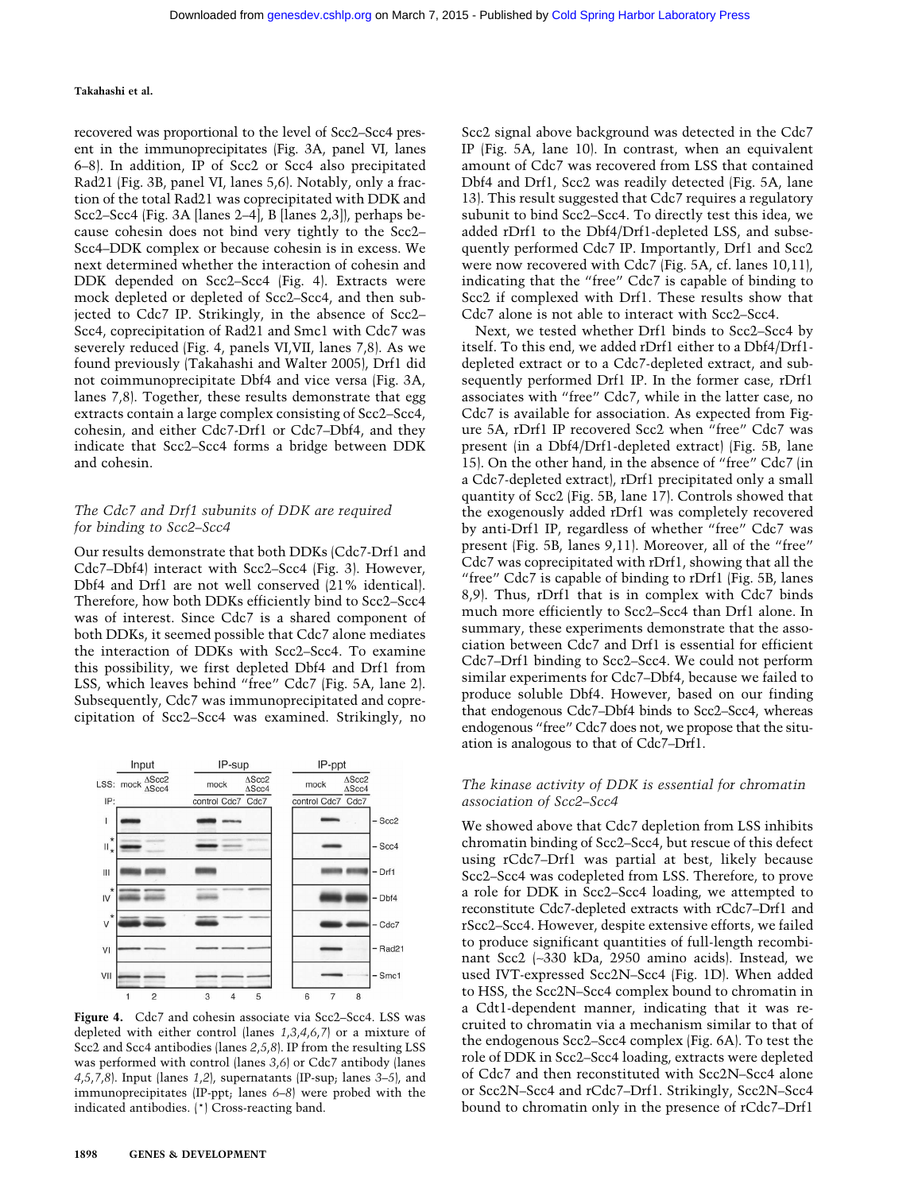recovered was proportional to the level of Scc2–Scc4 present in the immunoprecipitates (Fig. 3A, panel VI, lanes 6–8). In addition, IP of Scc2 or Scc4 also precipitated Rad21 (Fig. 3B, panel VI, lanes 5,6). Notably, only a fraction of the total Rad21 was coprecipitated with DDK and Scc2–Scc4 (Fig. 3A [lanes 2–4], B [lanes 2,3]), perhaps because cohesin does not bind very tightly to the Scc2– Scc4–DDK complex or because cohesin is in excess. We next determined whether the interaction of cohesin and DDK depended on Scc2–Scc4 (Fig. 4). Extracts were mock depleted or depleted of Scc2–Scc4, and then subjected to Cdc7 IP. Strikingly, in the absence of Scc2– Scc4, coprecipitation of Rad21 and Smc1 with Cdc7 was severely reduced (Fig. 4, panels VI,VII, lanes 7,8). As we found previously (Takahashi and Walter 2005), Drf1 did not coimmunoprecipitate Dbf4 and vice versa (Fig. 3A, lanes 7,8). Together, these results demonstrate that egg extracts contain a large complex consisting of Scc2–Scc4, cohesin, and either Cdc7-Drf1 or Cdc7–Dbf4, and they indicate that Scc2–Scc4 forms a bridge between DDK and cohesin.

# *The Cdc7 and Drf1 subunits of DDK are required for binding to Scc2–Scc4*

Our results demonstrate that both DDKs (Cdc7-Drf1 and Cdc7–Dbf4) interact with Scc2–Scc4 (Fig. 3). However, Dbf4 and Drf1 are not well conserved (21% identical). Therefore, how both DDKs efficiently bind to Scc2–Scc4 was of interest. Since Cdc7 is a shared component of both DDKs, it seemed possible that Cdc7 alone mediates the interaction of DDKs with Scc2–Scc4. To examine this possibility, we first depleted Dbf4 and Drf1 from LSS, which leaves behind "free" Cdc7 (Fig. 5A, lane 2). Subsequently, Cdc7 was immunoprecipitated and coprecipitation of Scc2–Scc4 was examined. Strikingly, no



**Figure 4.** Cdc7 and cohesin associate via Scc2–Scc4. LSS was depleted with either control (lanes *1*,*3*,*4*,*6*,*7*) or a mixture of Scc2 and Scc4 antibodies (lanes *2*,*5*,*8*). IP from the resulting LSS was performed with control (lanes *3*,*6*) or Cdc7 antibody (lanes *4*,*5*,*7*,*8*). Input (lanes *1*,*2*), supernatants (IP-sup; lanes *3–5*), and immunoprecipitates (IP-ppt; lanes *6–8*) were probed with the indicated antibodies. (\*) Cross-reacting band.

Scc2 signal above background was detected in the Cdc7 IP (Fig. 5A, lane 10). In contrast, when an equivalent amount of Cdc7 was recovered from LSS that contained Dbf4 and Drf1, Scc2 was readily detected (Fig. 5A, lane 13). This result suggested that Cdc7 requires a regulatory subunit to bind Scc2–Scc4. To directly test this idea, we added rDrf1 to the Dbf4/Drf1-depleted LSS, and subsequently performed Cdc7 IP. Importantly, Drf1 and Scc2 were now recovered with Cdc7 (Fig. 5A, cf. lanes 10,11), indicating that the "free" Cdc7 is capable of binding to Scc2 if complexed with Drf1. These results show that Cdc7 alone is not able to interact with Scc2–Scc4.

Next, we tested whether Drf1 binds to Scc2–Scc4 by itself. To this end, we added rDrf1 either to a Dbf4/Drf1 depleted extract or to a Cdc7-depleted extract, and subsequently performed Drf1 IP. In the former case, rDrf1 associates with "free" Cdc7, while in the latter case, no Cdc7 is available for association. As expected from Figure 5A, rDrf1 IP recovered Scc2 when "free" Cdc7 was present (in a Dbf4/Drf1-depleted extract) (Fig. 5B, lane 15). On the other hand, in the absence of "free" Cdc7 (in a Cdc7-depleted extract), rDrf1 precipitated only a small quantity of Scc2 (Fig. 5B, lane 17). Controls showed that the exogenously added rDrf1 was completely recovered by anti-Drf1 IP, regardless of whether "free" Cdc7 was present (Fig. 5B, lanes 9,11). Moreover, all of the "free" Cdc7 was coprecipitated with rDrf1, showing that all the "free" Cdc7 is capable of binding to rDrf1 (Fig. 5B, lanes 8,9). Thus, rDrf1 that is in complex with Cdc7 binds much more efficiently to Scc2–Scc4 than Drf1 alone. In summary, these experiments demonstrate that the association between Cdc7 and Drf1 is essential for efficient Cdc7–Drf1 binding to Scc2–Scc4. We could not perform similar experiments for Cdc7–Dbf4, because we failed to produce soluble Dbf4. However, based on our finding that endogenous Cdc7–Dbf4 binds to Scc2–Scc4, whereas endogenous "free" Cdc7 does not, we propose that the situation is analogous to that of Cdc7–Drf1.

#### *The kinase activity of DDK is essential for chromatin association of Scc2–Scc4*

We showed above that Cdc7 depletion from LSS inhibits chromatin binding of Scc2–Scc4, but rescue of this defect using rCdc7–Drf1 was partial at best, likely because Scc2–Scc4 was codepleted from LSS. Therefore, to prove a role for DDK in Scc2–Scc4 loading, we attempted to reconstitute Cdc7-depleted extracts with rCdc7–Drf1 and rScc2–Scc4. However, despite extensive efforts, we failed to produce significant quantities of full-length recombinant Scc2 (∼330 kDa, 2950 amino acids). Instead, we used IVT-expressed Scc2N–Scc4 (Fig. 1D). When added to HSS, the Scc2N–Scc4 complex bound to chromatin in a Cdt1-dependent manner, indicating that it was recruited to chromatin via a mechanism similar to that of the endogenous Scc2–Scc4 complex (Fig. 6A). To test the role of DDK in Scc2–Scc4 loading, extracts were depleted of Cdc7 and then reconstituted with Scc2N–Scc4 alone or Scc2N–Scc4 and rCdc7–Drf1. Strikingly, Scc2N–Scc4 bound to chromatin only in the presence of rCdc7–Drf1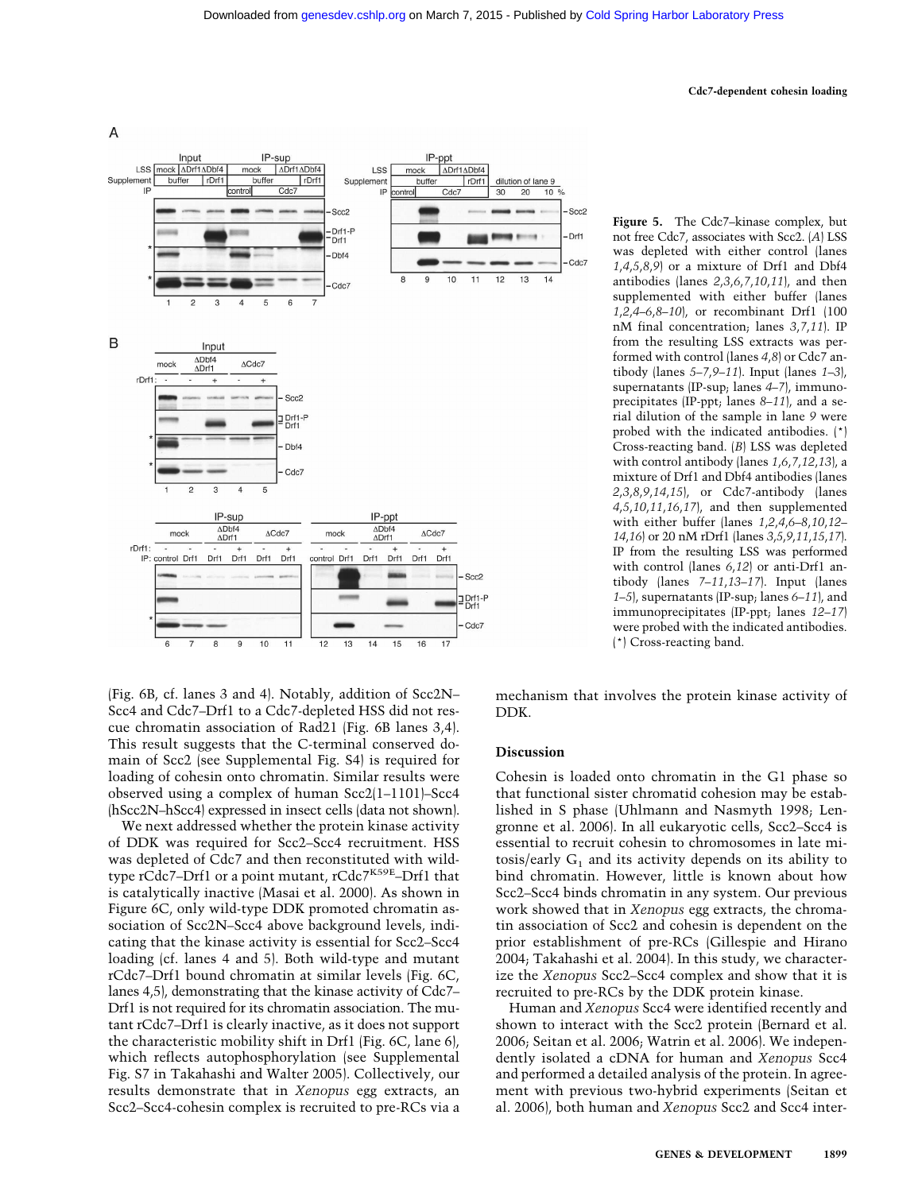#### **Cdc7-dependent cohesin loading**



(Fig. 6B, cf. lanes 3 and 4). Notably, addition of Scc2N– Scc4 and Cdc7–Drf1 to a Cdc7-depleted HSS did not rescue chromatin association of Rad21 (Fig. 6B lanes 3,4). This result suggests that the C-terminal conserved domain of Scc2 (see Supplemental Fig. S4) is required for loading of cohesin onto chromatin. Similar results were observed using a complex of human Scc2(1–1101)–Scc4 (hScc2N–hScc4) expressed in insect cells (data not shown).

We next addressed whether the protein kinase activity of DDK was required for Scc2–Scc4 recruitment. HSS was depleted of Cdc7 and then reconstituted with wildtype rCdc7-Drf1 or a point mutant, rCdc7K59E-Drf1 that is catalytically inactive (Masai et al. 2000). As shown in Figure 6C, only wild-type DDK promoted chromatin association of Scc2N–Scc4 above background levels, indicating that the kinase activity is essential for Scc2–Scc4 loading (cf. lanes 4 and 5). Both wild-type and mutant rCdc7–Drf1 bound chromatin at similar levels (Fig. 6C, lanes 4,5), demonstrating that the kinase activity of Cdc7– Drf1 is not required for its chromatin association. The mutant rCdc7–Drf1 is clearly inactive, as it does not support the characteristic mobility shift in Drf1 (Fig. 6C, lane 6), which reflects autophosphorylation (see Supplemental Fig. S7 in Takahashi and Walter 2005). Collectively, our results demonstrate that in *Xenopus* egg extracts, an Scc2–Scc4-cohesin complex is recruited to pre-RCs via a

**Figure 5.** The Cdc7–kinase complex, but not free Cdc7, associates with Scc2. (*A*) LSS was depleted with either control (lanes *1*,*4*,*5*,*8*,*9*) or a mixture of Drf1 and Dbf4 antibodies (lanes *2*,*3*,*6*,*7*,*10*,*11*), and then supplemented with either buffer (lanes *1*,*2*,*4–6*,*8–10*), or recombinant Drf1 (100 nM final concentration; lanes *3*,*7*,*11*). IP from the resulting LSS extracts was performed with control (lanes *4*,*8*) or Cdc7 antibody (lanes *5–7*,*9–11*). Input (lanes *1–3*), supernatants (IP-sup; lanes *4–7*), immunoprecipitates (IP-ppt; lanes *8–11*), and a serial dilution of the sample in lane *9* were probed with the indicated antibodies. (\*) Cross-reacting band. (*B*) LSS was depleted with control antibody (lanes *1*,*6*,*7*,*12*,*13*), a mixture of Drf1 and Dbf4 antibodies (lanes *2*,*3*,*8*,*9*,*14*,*15*), or Cdc7-antibody (lanes *4*,*5*,*10*,*11*,*16*,*17*), and then supplemented with either buffer (lanes *1*,*2*,*4*,*6–8*,*10*,*12– 14*,*16*) or 20 nM rDrf1 (lanes *3*,*5*,*9*,*11*,*15*,*17*). IP from the resulting LSS was performed with control (lanes *6*,*12*) or anti-Drf1 antibody (lanes *7–11*,*13–17*). Input (lanes *1–5*), supernatants (IP-sup; lanes *6–11*), and immunoprecipitates (IP-ppt; lanes *12–17*) were probed with the indicated antibodies. (\*) Cross-reacting band.

mechanism that involves the protein kinase activity of DDK.

# **Discussion**

Cohesin is loaded onto chromatin in the G1 phase so that functional sister chromatid cohesion may be established in S phase (Uhlmann and Nasmyth 1998; Lengronne et al. 2006). In all eukaryotic cells, Scc2–Scc4 is essential to recruit cohesin to chromosomes in late mitosis/early  $G_1$  and its activity depends on its ability to bind chromatin. However, little is known about how Scc2–Scc4 binds chromatin in any system. Our previous work showed that in *Xenopus* egg extracts, the chromatin association of Scc2 and cohesin is dependent on the prior establishment of pre-RCs (Gillespie and Hirano 2004; Takahashi et al. 2004). In this study, we characterize the *Xenopus* Scc2–Scc4 complex and show that it is recruited to pre-RCs by the DDK protein kinase.

Human and *Xenopus* Scc4 were identified recently and shown to interact with the Scc2 protein (Bernard et al. 2006; Seitan et al. 2006; Watrin et al. 2006). We independently isolated a cDNA for human and *Xenopus* Scc4 and performed a detailed analysis of the protein. In agreement with previous two-hybrid experiments (Seitan et al. 2006), both human and *Xenopus* Scc2 and Scc4 inter-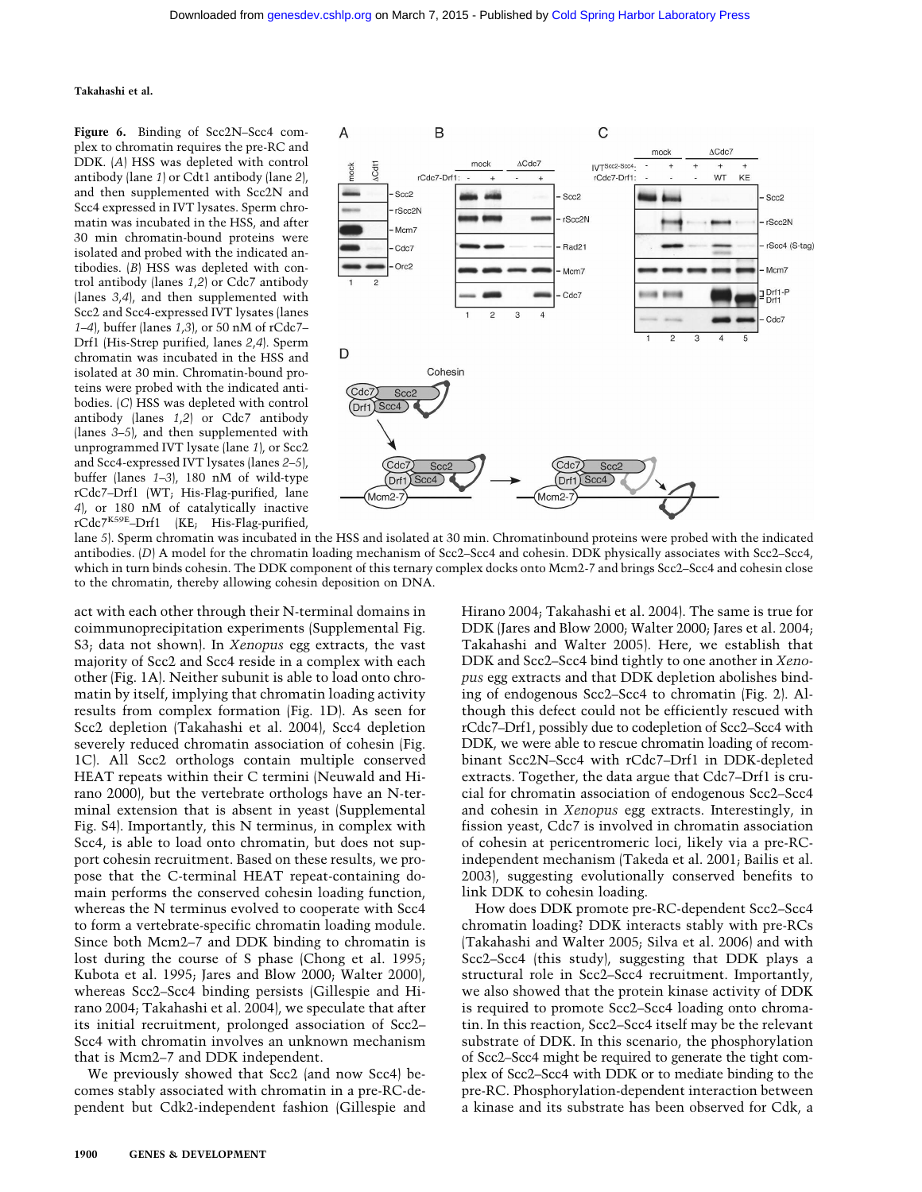**Figure 6.** Binding of Scc2N–Scc4 complex to chromatin requires the pre-RC and DDK. (*A*) HSS was depleted with control antibody (lane *1*) or Cdt1 antibody (lane *2*), and then supplemented with Scc2N and Scc4 expressed in IVT lysates. Sperm chromatin was incubated in the HSS, and after 30 min chromatin-bound proteins were isolated and probed with the indicated antibodies. (*B*) HSS was depleted with control antibody (lanes *1*,*2*) or Cdc7 antibody (lanes *3*,*4*), and then supplemented with Scc2 and Scc4-expressed IVT lysates (lanes *1–4*), buffer (lanes *1*,*3*), or 50 nM of rCdc7– Drf1 (His-Strep purified, lanes *2*,*4*). Sperm chromatin was incubated in the HSS and isolated at 30 min. Chromatin-bound proteins were probed with the indicated antibodies. (*C*) HSS was depleted with control antibody (lanes *1*,*2*) or Cdc7 antibody (lanes *3–5*), and then supplemented with unprogrammed IVT lysate (lane *1*), or Scc2 and Scc4-expressed IVT lysates (lanes *2–5*), buffer (lanes *1–3*), 180 nM of wild-type rCdc7–Drf1 (WT; His-Flag-purified, lane *4*), or 180 nM of catalytically inactive rCdc7K59E–Drf1 (KE; His-Flag-purified,



lane *5*). Sperm chromatin was incubated in the HSS and isolated at 30 min. Chromatinbound proteins were probed with the indicated antibodies. (*D*) A model for the chromatin loading mechanism of Scc2–Scc4 and cohesin. DDK physically associates with Scc2–Scc4, which in turn binds cohesin. The DDK component of this ternary complex docks onto Mcm2-7 and brings Scc2–Scc4 and cohesin close to the chromatin, thereby allowing cohesin deposition on DNA.

act with each other through their N-terminal domains in coimmunoprecipitation experiments (Supplemental Fig. S3; data not shown). In *Xenopus* egg extracts, the vast majority of Scc2 and Scc4 reside in a complex with each other (Fig. 1A). Neither subunit is able to load onto chromatin by itself, implying that chromatin loading activity results from complex formation (Fig. 1D). As seen for Scc2 depletion (Takahashi et al. 2004), Scc4 depletion severely reduced chromatin association of cohesin (Fig. 1C). All Scc2 orthologs contain multiple conserved HEAT repeats within their C termini (Neuwald and Hirano 2000), but the vertebrate orthologs have an N-terminal extension that is absent in yeast (Supplemental Fig. S4). Importantly, this N terminus, in complex with Scc4, is able to load onto chromatin, but does not support cohesin recruitment. Based on these results, we propose that the C-terminal HEAT repeat-containing domain performs the conserved cohesin loading function, whereas the N terminus evolved to cooperate with Scc4 to form a vertebrate-specific chromatin loading module. Since both Mcm2–7 and DDK binding to chromatin is lost during the course of S phase (Chong et al. 1995; Kubota et al. 1995; Jares and Blow 2000; Walter 2000), whereas Scc2–Scc4 binding persists (Gillespie and Hirano 2004; Takahashi et al. 2004), we speculate that after its initial recruitment, prolonged association of Scc2– Scc4 with chromatin involves an unknown mechanism that is Mcm2–7 and DDK independent.

We previously showed that Scc2 (and now Scc4) becomes stably associated with chromatin in a pre-RC-dependent but Cdk2-independent fashion (Gillespie and Hirano 2004; Takahashi et al. 2004). The same is true for DDK (Jares and Blow 2000; Walter 2000; Jares et al. 2004; Takahashi and Walter 2005). Here, we establish that DDK and Scc2–Scc4 bind tightly to one another in *Xenopus* egg extracts and that DDK depletion abolishes binding of endogenous Scc2–Scc4 to chromatin (Fig. 2). Although this defect could not be efficiently rescued with rCdc7–Drf1, possibly due to codepletion of Scc2–Scc4 with DDK, we were able to rescue chromatin loading of recombinant Scc2N–Scc4 with rCdc7–Drf1 in DDK-depleted extracts. Together, the data argue that Cdc7–Drf1 is crucial for chromatin association of endogenous Scc2–Scc4 and cohesin in *Xenopus* egg extracts. Interestingly, in fission yeast, Cdc7 is involved in chromatin association of cohesin at pericentromeric loci, likely via a pre-RCindependent mechanism (Takeda et al. 2001; Bailis et al. 2003), suggesting evolutionally conserved benefits to link DDK to cohesin loading.

How does DDK promote pre-RC-dependent Scc2–Scc4 chromatin loading? DDK interacts stably with pre-RCs (Takahashi and Walter 2005; Silva et al. 2006) and with Scc2–Scc4 (this study), suggesting that DDK plays a structural role in Scc2–Scc4 recruitment. Importantly, we also showed that the protein kinase activity of DDK is required to promote Scc2–Scc4 loading onto chromatin. In this reaction, Scc2–Scc4 itself may be the relevant substrate of DDK. In this scenario, the phosphorylation of Scc2–Scc4 might be required to generate the tight complex of Scc2–Scc4 with DDK or to mediate binding to the pre-RC. Phosphorylation-dependent interaction between a kinase and its substrate has been observed for Cdk, a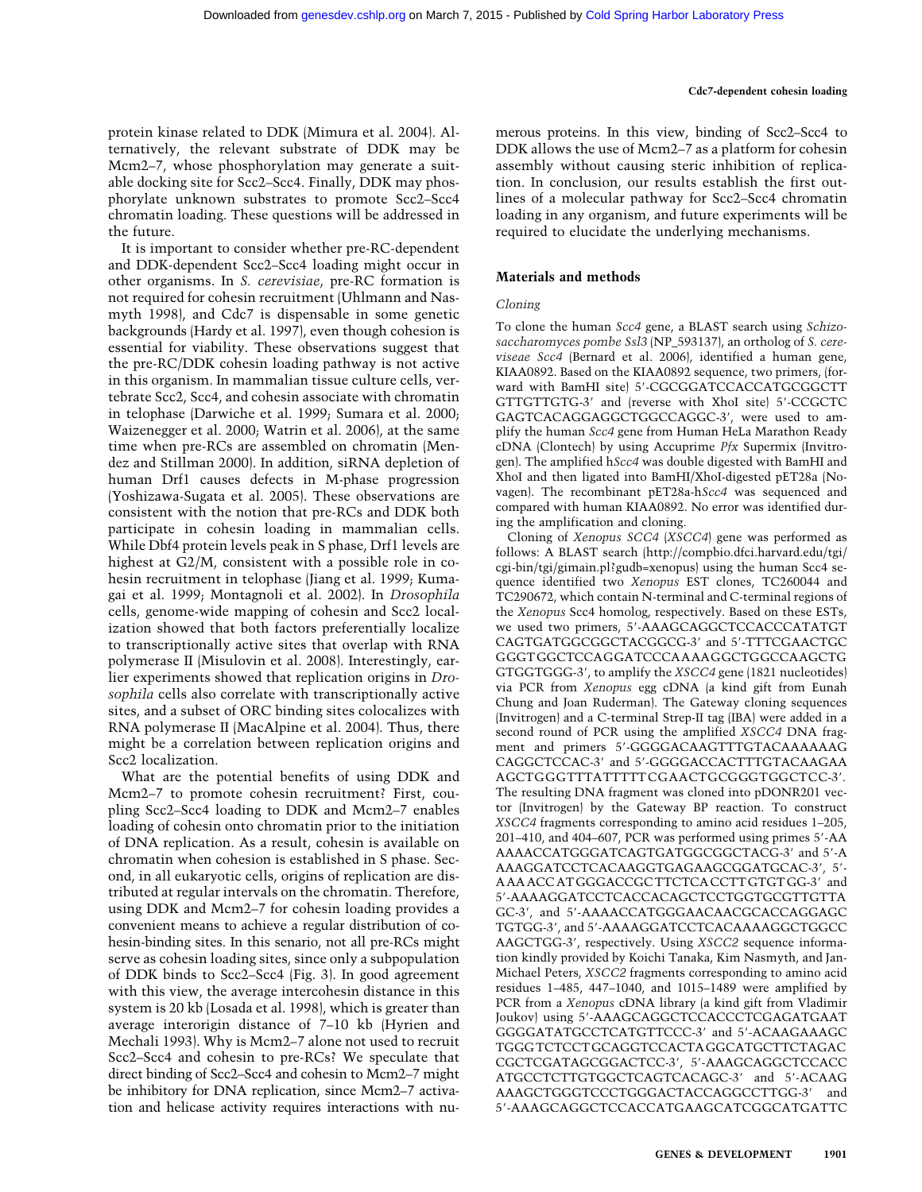protein kinase related to DDK (Mimura et al. 2004). Alternatively, the relevant substrate of DDK may be Mcm2–7, whose phosphorylation may generate a suitable docking site for Scc2–Scc4. Finally, DDK may phosphorylate unknown substrates to promote Scc2–Scc4 chromatin loading. These questions will be addressed in the future.

It is important to consider whether pre-RC-dependent and DDK-dependent Scc2–Scc4 loading might occur in other organisms. In *S. cerevisiae*, pre-RC formation is not required for cohesin recruitment (Uhlmann and Nasmyth 1998), and Cdc7 is dispensable in some genetic backgrounds (Hardy et al. 1997), even though cohesion is essential for viability. These observations suggest that the pre-RC/DDK cohesin loading pathway is not active in this organism. In mammalian tissue culture cells, vertebrate Scc2, Scc4, and cohesin associate with chromatin in telophase (Darwiche et al. 1999; Sumara et al. 2000; Waizenegger et al. 2000; Watrin et al. 2006), at the same time when pre-RCs are assembled on chromatin (Mendez and Stillman 2000). In addition, siRNA depletion of human Drf1 causes defects in M-phase progression (Yoshizawa-Sugata et al. 2005). These observations are consistent with the notion that pre-RCs and DDK both participate in cohesin loading in mammalian cells. While Dbf4 protein levels peak in S phase, Drf1 levels are highest at G2/M, consistent with a possible role in cohesin recruitment in telophase (Jiang et al. 1999; Kumagai et al. 1999; Montagnoli et al. 2002). In *Drosophila* cells, genome-wide mapping of cohesin and Scc2 localization showed that both factors preferentially localize to transcriptionally active sites that overlap with RNA polymerase II (Misulovin et al. 2008). Interestingly, earlier experiments showed that replication origins in *Drosophila* cells also correlate with transcriptionally active sites, and a subset of ORC binding sites colocalizes with RNA polymerase II (MacAlpine et al. 2004). Thus, there might be a correlation between replication origins and Scc2 localization.

What are the potential benefits of using DDK and Mcm2–7 to promote cohesin recruitment? First, coupling Scc2–Scc4 loading to DDK and Mcm2–7 enables loading of cohesin onto chromatin prior to the initiation of DNA replication. As a result, cohesin is available on chromatin when cohesion is established in S phase. Second, in all eukaryotic cells, origins of replication are distributed at regular intervals on the chromatin. Therefore, using DDK and Mcm2–7 for cohesin loading provides a convenient means to achieve a regular distribution of cohesin-binding sites. In this senario, not all pre-RCs might serve as cohesin loading sites, since only a subpopulation of DDK binds to Scc2–Scc4 (Fig. 3). In good agreement with this view, the average intercohesin distance in this system is 20 kb (Losada et al. 1998), which is greater than average interorigin distance of 7–10 kb (Hyrien and Mechali 1993). Why is Mcm2–7 alone not used to recruit Scc2–Scc4 and cohesin to pre-RCs? We speculate that direct binding of Scc2–Scc4 and cohesin to Mcm2–7 might be inhibitory for DNA replication, since Mcm2–7 activation and helicase activity requires interactions with numerous proteins. In this view, binding of Scc2–Scc4 to DDK allows the use of Mcm2–7 as a platform for cohesin assembly without causing steric inhibition of replication. In conclusion, our results establish the first outlines of a molecular pathway for Scc2–Scc4 chromatin loading in any organism, and future experiments will be required to elucidate the underlying mechanisms.

#### **Materials and methods**

#### *Cloning*

To clone the human *Scc4* gene, a BLAST search using *Schizosaccharomyces pombe Ssl3* (NP\_593137), an ortholog of *S. cereviseae Scc4* (Bernard et al. 2006), identified a human gene, KIAA0892. Based on the KIAA0892 sequence, two primers, (forward with BamHI site) 5'-CGCGGATCCACCATGCGGCTT GTTGTTGTG-3 and (reverse with XhoI site) 5-CCGCTC GAGTCACAGGAGGCTGGCCAGGC-3', were used to amplify the human *Scc4* gene from Human HeLa Marathon Ready cDNA (Clontech) by using Accuprime *Pfx* Supermix (Invitrogen). The amplified h*Scc4* was double digested with BamHI and XhoI and then ligated into BamHI/XhoI-digested pET28a (Novagen). The recombinant pET28a-h*Scc4* was sequenced and compared with human KIAA0892. No error was identified during the amplification and cloning.

Cloning of *Xenopus SCC4* (*XSCC4*) gene was performed as follows: A BLAST search (http://compbio.dfci.harvard.edu/tgi/ cgi-bin/tgi/gimain.pl?gudb=xenopus) using the human Scc4 sequence identified two *Xenopus* EST clones, TC260044 and TC290672, which contain N-terminal and C-terminal regions of the *Xenopus* Scc4 homolog, respectively. Based on these ESTs, we used two primers, 5-AAAGCAGGCTCCACCCATATGT CAGTGATGGCGGCTACGGCG-3' and 5'-TTTCGAACTGC GGGTGGCTCCAGGATCCCAAAAGGCTGGCCAAGCTG GTGGTGGG-3', to amplify the *XSCC4* gene (1821 nucleotides) via PCR from *Xenopus* egg cDNA (a kind gift from Eunah Chung and Joan Ruderman). The Gateway cloning sequences (Invitrogen) and a C-terminal Strep-II tag (IBA) were added in a second round of PCR using the amplified *XSCC4* DNA fragment and primers 5-GGGGACAAGTTTGTACAAAAAAG CAGGCTCCAC-3' and 5'-GGGGACCACTTTGTACAAGAA AGCTGGGTTTATTTTTCGAACTGCGGGTGGCTCC-3. The resulting DNA fragment was cloned into pDONR201 vector (Invitrogen) by the Gateway BP reaction. To construct *XSCC4* fragments corresponding to amino acid residues 1–205, 201–410, and 404–607, PCR was performed using primes 5-AA AAAACCATGGGATCAGTGATGGCGGCTACG-3' and 5'-A AAAGGATCCTCACAAGGTGAGAAGCGGATGCAC-3, 5- AAAACCATGGGACCGCTTCTCACCTTGTGTGG-3' and 5-AAAAGGATCCTCACCACAGCTCCTGGTGCGTTGTTA GC-3, and 5-AAAACCATGGGAACAACGCACCAGGAGC TGTGG-3', and 5'-AAAAGGATCCTCACAAAAGGCTGGCC AAGCTGG-3', respectively. Using *XSCC2* sequence information kindly provided by Koichi Tanaka, Kim Nasmyth, and Jan-Michael Peters, *XSCC2* fragments corresponding to amino acid residues 1–485, 447–1040, and 1015–1489 were amplified by PCR from a *Xenopus* cDNA library (a kind gift from Vladimir Joukov) using 5-AAAGCAGGCTCCACCCTCGAGATGAAT GGGGATATGCCTCATGTTCCC-3 and 5-ACAAGAAAGC TGGGTCTCCTGCAGGTCCACTAGGCATGCTTCTAGAC CGCTCGATAGCGGACTCC-3, 5-AAAGCAGGCTCCACC ATGCCTCTTGTGGCTCAGTCACAGC-3' and 5'-ACAAG AAAGCTGGGTCCCTGGGACTACCAGGCCTTGG-3' and 5-AAAGCAGGCTCCACCATGAAGCATCGGCATGATTC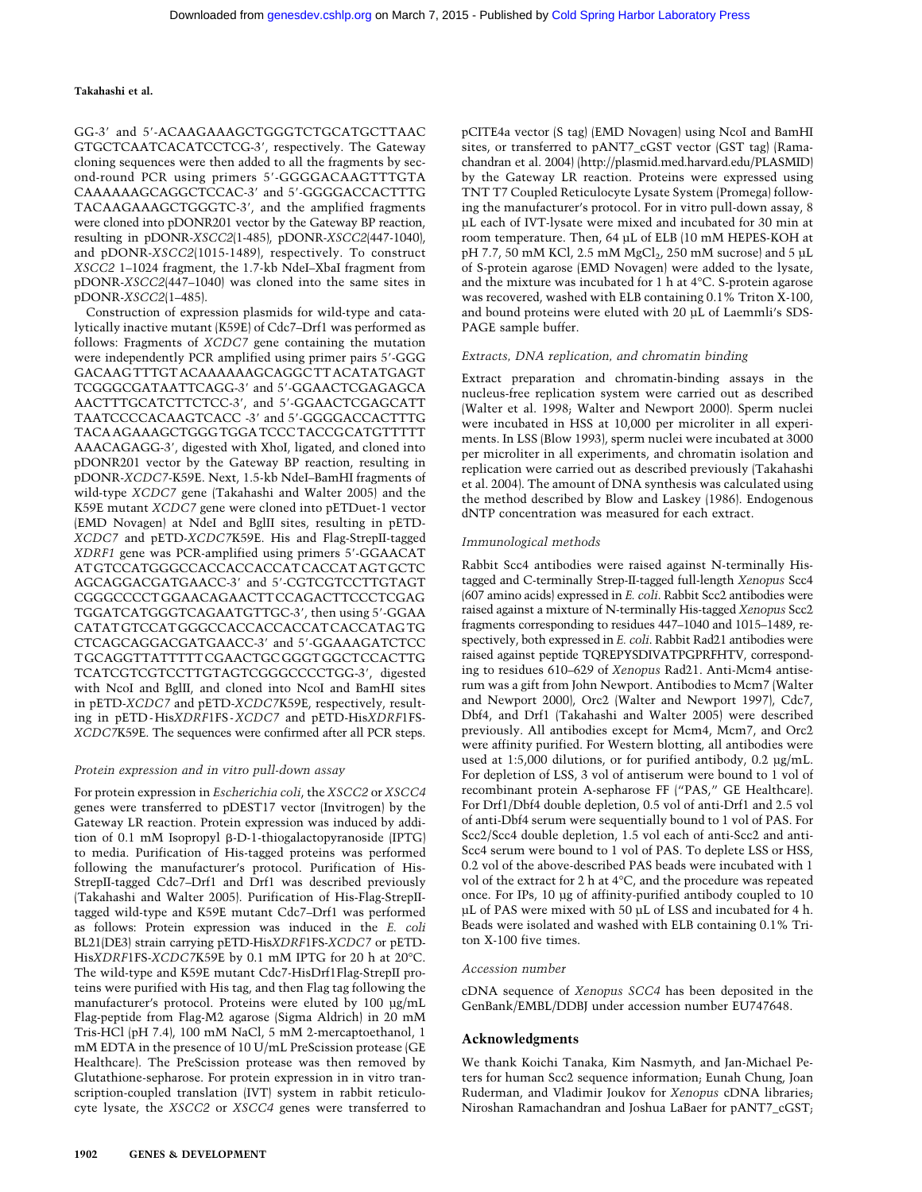GG-3 and 5-ACAAGAAAGCTGGGTCTGCATGCTTAAC GTGCTCAATCACATCCTCG-3', respectively. The Gateway cloning sequences were then added to all the fragments by second-round PCR using primers 5'-GGGGACAAGTTTGTA CAAAAAAGCAGGCTCCAC-3' and 5'-GGGGACCACTTTG TACAAGAAAGCTGGGTC-3', and the amplified fragments were cloned into pDONR201 vector by the Gateway BP reaction, resulting in pDONR-*XSCC2*(1-485), pDONR-*XSCC2*(447-1040), and pDONR-*XSCC2*(1015-1489), respectively. To construct *XSCC2* 1–1024 fragment, the 1.7-kb NdeI–XbaI fragment from pDONR-*XSCC2*(447–1040) was cloned into the same sites in pDONR-*XSCC2*(1–485).

Construction of expression plasmids for wild-type and catalytically inactive mutant (K59E) of Cdc7–Drf1 was performed as follows: Fragments of *XCDC7* gene containing the mutation were independently PCR amplified using primer pairs 5'-GGG GACAAGTTTGTACAAAAAAGCAGGCTTACATATGAGT TCGGGCGATAATTCAGG-3' and 5'-GGAACTCGAGAGCA AACTTTGCATCTTCTCC-3', and 5'-GGAACTCGAGCATT TAATCCCCACAAGTCACC -3' and 5'-GGGGACCACTTTG TACAAGAAAGCTGGGTGGATCCCTACCGCATGTTTTT AAACAGAGG-3', digested with XhoI, ligated, and cloned into pDONR201 vector by the Gateway BP reaction, resulting in pDONR-*XCDC7*-K59E. Next, 1.5-kb NdeI–BamHI fragments of wild-type *XCDC7* gene (Takahashi and Walter 2005) and the K59E mutant *XCDC7* gene were cloned into pETDuet-1 vector (EMD Novagen) at NdeI and BglII sites, resulting in pETD-*XCDC7* and pETD-*XCDC7*K59E. His and Flag-StrepII-tagged *XDRF1* gene was PCR-amplified using primers 5-GGAACAT ATGTCCATGGGCCACCACCACCATCACCATAGTGCTC AGCAGGACGATGAACC-3 and 5-CGTCGTCCTTGTAGT CGGGCCCCTGGAACAGAACTTCCAGACTTCCCTCGAG TGGATCATGGGTCAGAATGTTGC-3', then using 5'-GGAA CATATGTCCATGGGCCACCACCACCATCACCATAGTG CTCAGCAGGACGATGAACC-3' and 5'-GGAAAGATCTCC TGCAGGTTATTTTTCGAACTGCGGGTGGCTCCACTTG TCATCGTCGTCCTTGTAGTCGGGCCCCTGG-3, digested with NcoI and BglII, and cloned into NcoI and BamHI sites in pETD-*XCDC7* and pETD-*XCDC7*K59E, respectively, resulting in pETD-His*XDRF*1FS-*XCDC7* and pETD-His*XDRF*1FS-*XCDC7*K59E. The sequences were confirmed after all PCR steps.

#### *Protein expression and in vitro pull-down assay*

For protein expression in *Escherichia coli*, the *XSCC2* or *XSCC4* genes were transferred to pDEST17 vector (Invitrogen) by the Gateway LR reaction. Protein expression was induced by addition of 0.1 mM Isopropyl β-D-1-thiogalactopyranoside (IPTG) to media. Purification of His-tagged proteins was performed following the manufacturer's protocol. Purification of His-StrepII-tagged Cdc7–Drf1 and Drf1 was described previously (Takahashi and Walter 2005). Purification of His-Flag-StrepIItagged wild-type and K59E mutant Cdc7–Drf1 was performed as follows: Protein expression was induced in the *E. coli* BL21(DE3) strain carrying pETD-His*XDRF*1FS-*XCDC7* or pETD-His*XDRF*1FS-*XCDC7*K59E by 0.1 mM IPTG for 20 h at 20°C. The wild-type and K59E mutant Cdc7-HisDrf1Flag-StrepII proteins were purified with His tag, and then Flag tag following the manufacturer's protocol. Proteins were eluted by 100 µg/mL Flag-peptide from Flag-M2 agarose (Sigma Aldrich) in 20 mM Tris-HCl (pH 7.4), 100 mM NaCl, 5 mM 2-mercaptoethanol, 1 mM EDTA in the presence of 10 U/mL PreScission protease (GE Healthcare). The PreScission protease was then removed by Glutathione-sepharose. For protein expression in in vitro transcription-coupled translation (IVT) system in rabbit reticulocyte lysate, the *XSCC2* or *XSCC4* genes were transferred to

pCITE4a vector (S tag) (EMD Novagen) using NcoI and BamHI sites, or transferred to pANT7\_cGST vector (GST tag) (Ramachandran et al. 2004) (http://plasmid.med.harvard.edu/PLASMID) by the Gateway LR reaction. Proteins were expressed using TNT T7 Coupled Reticulocyte Lysate System (Promega) following the manufacturer's protocol. For in vitro pull-down assay, 8 µL each of IVT-lysate were mixed and incubated for 30 min at room temperature. Then, 64 µL of ELB (10 mM HEPES-KOH at pH 7.7, 50 mM KCl, 2.5 mM  $MgCl<sub>2</sub>$ , 250 mM sucrose) and 5 µL of S-protein agarose (EMD Novagen) were added to the lysate, and the mixture was incubated for 1 h at 4°C. S-protein agarose was recovered, washed with ELB containing 0.1% Triton X-100, and bound proteins were eluted with 20 µL of Laemmli's SDS-PAGE sample buffer.

#### *Extracts, DNA replication, and chromatin binding*

Extract preparation and chromatin-binding assays in the nucleus-free replication system were carried out as described (Walter et al. 1998; Walter and Newport 2000). Sperm nuclei were incubated in HSS at 10,000 per microliter in all experiments. In LSS (Blow 1993), sperm nuclei were incubated at 3000 per microliter in all experiments, and chromatin isolation and replication were carried out as described previously (Takahashi et al. 2004). The amount of DNA synthesis was calculated using the method described by Blow and Laskey (1986). Endogenous dNTP concentration was measured for each extract.

#### *Immunological methods*

Rabbit Scc4 antibodies were raised against N-terminally Histagged and C-terminally Strep-II-tagged full-length *Xenopus* Scc4 (607 amino acids) expressed in *E. coli*. Rabbit Scc2 antibodies were raised against a mixture of N-terminally His-tagged *Xenopus* Scc2 fragments corresponding to residues 447–1040 and 1015–1489, respectively, both expressed in *E. coli*. Rabbit Rad21 antibodies were raised against peptide TQREPYSDIVATPGPRFHTV, corresponding to residues 610–629 of *Xenopus* Rad21. Anti-Mcm4 antiserum was a gift from John Newport. Antibodies to Mcm7 (Walter and Newport 2000), Orc2 (Walter and Newport 1997), Cdc7, Dbf4, and Drf1 (Takahashi and Walter 2005) were described previously. All antibodies except for Mcm4, Mcm7, and Orc2 were affinity purified. For Western blotting, all antibodies were used at 1:5,000 dilutions, or for purified antibody, 0.2 µg/mL. For depletion of LSS, 3 vol of antiserum were bound to 1 vol of recombinant protein A-sepharose FF ("PAS," GE Healthcare). For Drf1/Dbf4 double depletion, 0.5 vol of anti-Drf1 and 2.5 vol of anti-Dbf4 serum were sequentially bound to 1 vol of PAS. For Scc2/Scc4 double depletion, 1.5 vol each of anti-Scc2 and anti-Scc4 serum were bound to 1 vol of PAS. To deplete LSS or HSS, 0.2 vol of the above-described PAS beads were incubated with 1 vol of the extract for 2 h at 4°C, and the procedure was repeated once. For IPs, 10 µg of affinity-purified antibody coupled to 10 µL of PAS were mixed with 50 µL of LSS and incubated for 4 h. Beads were isolated and washed with ELB containing 0.1% Triton X-100 five times.

#### *Accession number*

cDNA sequence of *Xenopus SCC4* has been deposited in the GenBank/EMBL/DDBJ under accession number EU747648.

#### **Acknowledgments**

We thank Koichi Tanaka, Kim Nasmyth, and Jan-Michael Peters for human Scc2 sequence information; Eunah Chung, Joan Ruderman, and Vladimir Joukov for *Xenopus* cDNA libraries; Niroshan Ramachandran and Joshua LaBaer for pANT7\_cGST;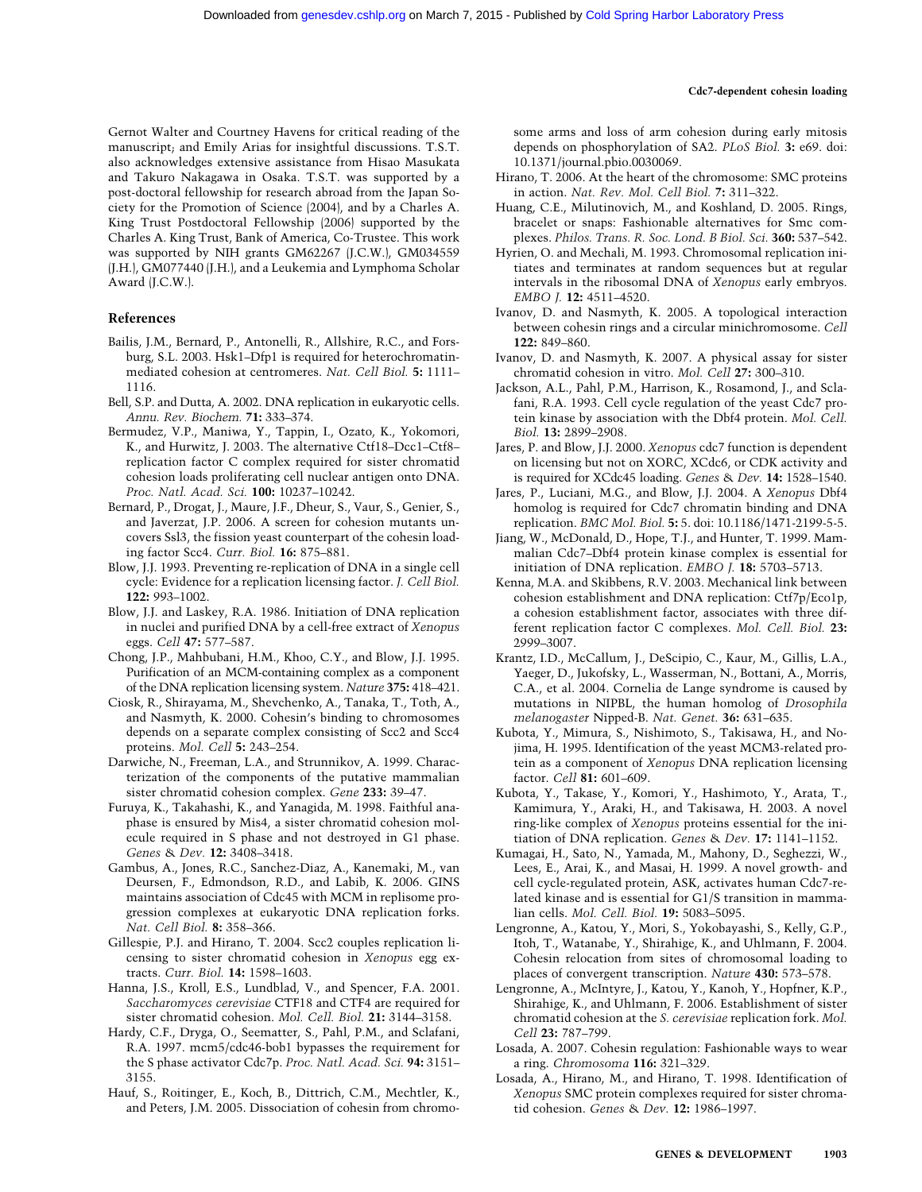#### **Cdc7-dependent cohesin loading**

Gernot Walter and Courtney Havens for critical reading of the manuscript; and Emily Arias for insightful discussions. T.S.T. also acknowledges extensive assistance from Hisao Masukata and Takuro Nakagawa in Osaka. T.S.T. was supported by a post-doctoral fellowship for research abroad from the Japan Society for the Promotion of Science (2004), and by a Charles A. King Trust Postdoctoral Fellowship (2006) supported by the Charles A. King Trust, Bank of America, Co-Trustee. This work was supported by NIH grants GM62267 (J.C.W.), GM034559 (J.H.), GM077440 (J.H.), and a Leukemia and Lymphoma Scholar Award (J.C.W.).

#### **References**

- Bailis, J.M., Bernard, P., Antonelli, R., Allshire, R.C., and Forsburg, S.L. 2003. Hsk1–Dfp1 is required for heterochromatinmediated cohesion at centromeres. *Nat. Cell Biol.* **5:** 1111– 1116.
- Bell, S.P. and Dutta, A. 2002. DNA replication in eukaryotic cells. *Annu. Rev. Biochem.* **71:** 333–374.
- Bermudez, V.P., Maniwa, Y., Tappin, I., Ozato, K., Yokomori, K., and Hurwitz, J. 2003. The alternative Ctf18–Dcc1–Ctf8– replication factor C complex required for sister chromatid cohesion loads proliferating cell nuclear antigen onto DNA. *Proc. Natl. Acad. Sci.* **100:** 10237–10242.
- Bernard, P., Drogat, J., Maure, J.F., Dheur, S., Vaur, S., Genier, S., and Javerzat, J.P. 2006. A screen for cohesion mutants uncovers Ssl3, the fission yeast counterpart of the cohesin loading factor Scc4. *Curr. Biol.* **16:** 875–881.
- Blow, J.J. 1993. Preventing re-replication of DNA in a single cell cycle: Evidence for a replication licensing factor. *J. Cell Biol.* **122:** 993–1002.
- Blow, J.J. and Laskey, R.A. 1986. Initiation of DNA replication in nuclei and purified DNA by a cell-free extract of *Xenopus* eggs. *Cell* **47:** 577–587.
- Chong, J.P., Mahbubani, H.M., Khoo, C.Y., and Blow, J.J. 1995. Purification of an MCM-containing complex as a component of the DNA replication licensing system. *Nature* **375:** 418–421.
- Ciosk, R., Shirayama, M., Shevchenko, A., Tanaka, T., Toth, A., and Nasmyth, K. 2000. Cohesin's binding to chromosomes depends on a separate complex consisting of Scc2 and Scc4 proteins. *Mol. Cell* **5:** 243–254.
- Darwiche, N., Freeman, L.A., and Strunnikov, A. 1999. Characterization of the components of the putative mammalian sister chromatid cohesion complex. *Gene* **233:** 39–47.
- Furuya, K., Takahashi, K., and Yanagida, M. 1998. Faithful anaphase is ensured by Mis4, a sister chromatid cohesion molecule required in S phase and not destroyed in G1 phase. *Genes* & *Dev.* **12:** 3408–3418.
- Gambus, A., Jones, R.C., Sanchez-Diaz, A., Kanemaki, M., van Deursen, F., Edmondson, R.D., and Labib, K. 2006. GINS maintains association of Cdc45 with MCM in replisome progression complexes at eukaryotic DNA replication forks. *Nat. Cell Biol.* **8:** 358–366.
- Gillespie, P.J. and Hirano, T. 2004. Scc2 couples replication licensing to sister chromatid cohesion in *Xenopus* egg extracts. *Curr. Biol.* **14:** 1598–1603.
- Hanna, J.S., Kroll, E.S., Lundblad, V., and Spencer, F.A. 2001. *Saccharomyces cerevisiae* CTF18 and CTF4 are required for sister chromatid cohesion. *Mol. Cell. Biol.* **21:** 3144–3158.
- Hardy, C.F., Dryga, O., Seematter, S., Pahl, P.M., and Sclafani, R.A. 1997. mcm5/cdc46-bob1 bypasses the requirement for the S phase activator Cdc7p. *Proc. Natl. Acad. Sci.* **94:** 3151– 3155.
- Hauf, S., Roitinger, E., Koch, B., Dittrich, C.M., Mechtler, K., and Peters, J.M. 2005. Dissociation of cohesin from chromo-

some arms and loss of arm cohesion during early mitosis depends on phosphorylation of SA2. *PLoS Biol.* **3:** e69. doi: 10.1371/journal.pbio.0030069.

- Hirano, T. 2006. At the heart of the chromosome: SMC proteins in action. *Nat. Rev. Mol. Cell Biol.* **7:** 311–322.
- Huang, C.E., Milutinovich, M., and Koshland, D. 2005. Rings, bracelet or snaps: Fashionable alternatives for Smc complexes. *Philos. Trans. R. Soc. Lond. B Biol. Sci.* **360:** 537–542.
- Hyrien, O. and Mechali, M. 1993. Chromosomal replication initiates and terminates at random sequences but at regular intervals in the ribosomal DNA of *Xenopus* early embryos. *EMBO J.* **12:** 4511–4520.
- Ivanov, D. and Nasmyth, K. 2005. A topological interaction between cohesin rings and a circular minichromosome. *Cell* **122:** 849–860.
- Ivanov, D. and Nasmyth, K. 2007. A physical assay for sister chromatid cohesion in vitro. *Mol. Cell* **27:** 300–310.
- Jackson, A.L., Pahl, P.M., Harrison, K., Rosamond, J., and Sclafani, R.A. 1993. Cell cycle regulation of the yeast Cdc7 protein kinase by association with the Dbf4 protein. *Mol. Cell. Biol.* **13:** 2899–2908.
- Jares, P. and Blow, J.J. 2000. *Xenopus* cdc7 function is dependent on licensing but not on XORC, XCdc6, or CDK activity and is required for XCdc45 loading. *Genes* & *Dev.* **14:** 1528–1540.
- Jares, P., Luciani, M.G., and Blow, J.J. 2004. A *Xenopus* Dbf4 homolog is required for Cdc7 chromatin binding and DNA replication. *BMC Mol. Biol.* **5:** 5. doi: 10.1186/1471-2199-5-5.
- Jiang, W., McDonald, D., Hope, T.J., and Hunter, T. 1999. Mammalian Cdc7–Dbf4 protein kinase complex is essential for initiation of DNA replication. *EMBO J.* **18:** 5703–5713.
- Kenna, M.A. and Skibbens, R.V. 2003. Mechanical link between cohesion establishment and DNA replication: Ctf7p/Eco1p, a cohesion establishment factor, associates with three different replication factor C complexes. *Mol. Cell. Biol.* **23:** 2999–3007.
- Krantz, I.D., McCallum, J., DeScipio, C., Kaur, M., Gillis, L.A., Yaeger, D., Jukofsky, L., Wasserman, N., Bottani, A., Morris, C.A., et al. 2004. Cornelia de Lange syndrome is caused by mutations in NIPBL, the human homolog of *Drosophila melanogaster* Nipped-B. *Nat. Genet.* **36:** 631–635.
- Kubota, Y., Mimura, S., Nishimoto, S., Takisawa, H., and Nojima, H. 1995. Identification of the yeast MCM3-related protein as a component of *Xenopus* DNA replication licensing factor. *Cell* **81:** 601–609.
- Kubota, Y., Takase, Y., Komori, Y., Hashimoto, Y., Arata, T., Kamimura, Y., Araki, H., and Takisawa, H. 2003. A novel ring-like complex of *Xenopus* proteins essential for the initiation of DNA replication. *Genes* & *Dev.* **17:** 1141–1152.
- Kumagai, H., Sato, N., Yamada, M., Mahony, D., Seghezzi, W., Lees, E., Arai, K., and Masai, H. 1999. A novel growth- and cell cycle-regulated protein, ASK, activates human Cdc7-related kinase and is essential for G1/S transition in mammalian cells. *Mol. Cell. Biol.* **19:** 5083–5095.
- Lengronne, A., Katou, Y., Mori, S., Yokobayashi, S., Kelly, G.P., Itoh, T., Watanabe, Y., Shirahige, K., and Uhlmann, F. 2004. Cohesin relocation from sites of chromosomal loading to places of convergent transcription. *Nature* **430:** 573–578.
- Lengronne, A., McIntyre, J., Katou, Y., Kanoh, Y., Hopfner, K.P., Shirahige, K., and Uhlmann, F. 2006. Establishment of sister chromatid cohesion at the *S. cerevisiae* replication fork. *Mol. Cell* **23:** 787–799.
- Losada, A. 2007. Cohesin regulation: Fashionable ways to wear a ring. *Chromosoma* **116:** 321–329.
- Losada, A., Hirano, M., and Hirano, T. 1998. Identification of *Xenopus* SMC protein complexes required for sister chromatid cohesion. *Genes* & *Dev.* **12:** 1986–1997.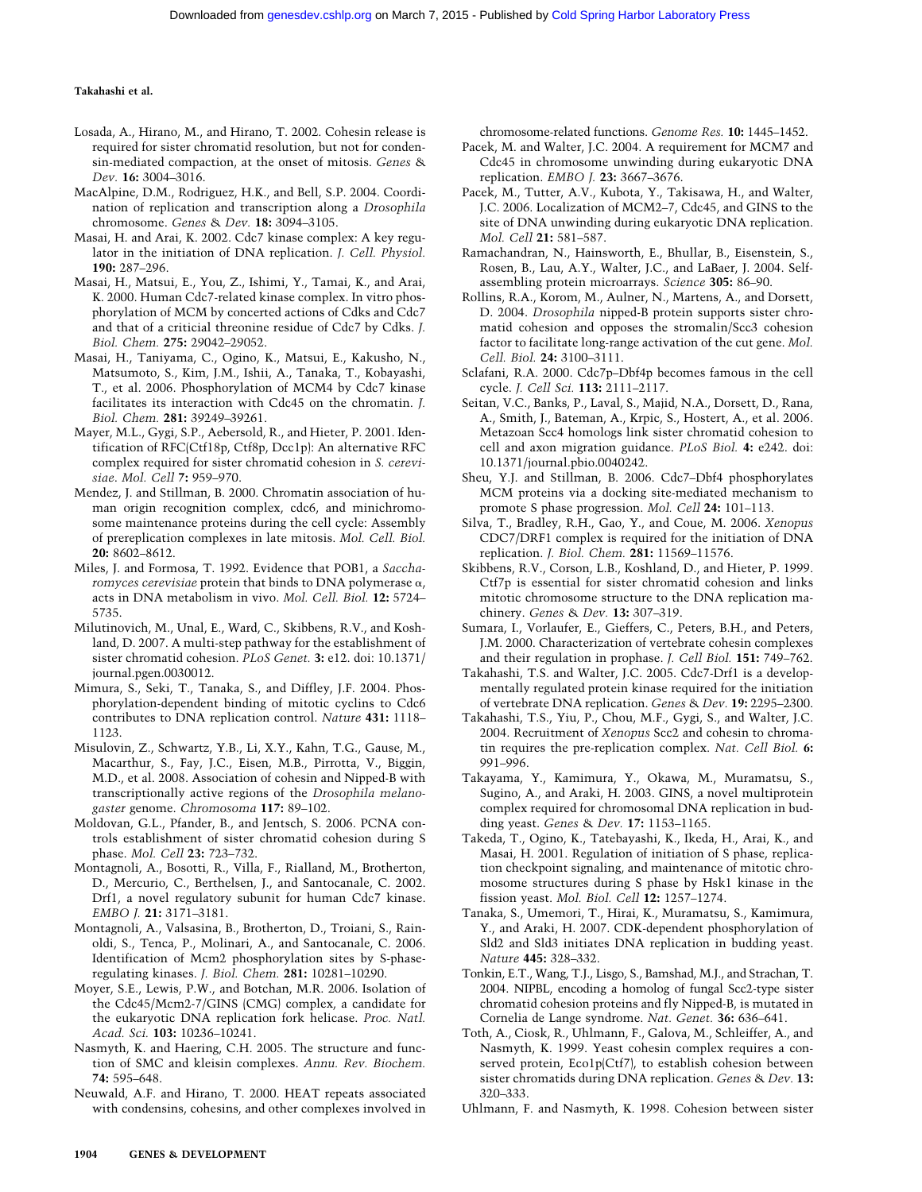- Losada, A., Hirano, M., and Hirano, T. 2002. Cohesin release is required for sister chromatid resolution, but not for condensin-mediated compaction, at the onset of mitosis. *Genes* & *Dev.* **16:** 3004–3016.
- MacAlpine, D.M., Rodriguez, H.K., and Bell, S.P. 2004. Coordination of replication and transcription along a *Drosophila* chromosome. *Genes* & *Dev.* **18:** 3094–3105.
- Masai, H. and Arai, K. 2002. Cdc7 kinase complex: A key regulator in the initiation of DNA replication. *J. Cell. Physiol.* **190:** 287–296.
- Masai, H., Matsui, E., You, Z., Ishimi, Y., Tamai, K., and Arai, K. 2000. Human Cdc7-related kinase complex. In vitro phosphorylation of MCM by concerted actions of Cdks and Cdc7 and that of a criticial threonine residue of Cdc7 by Cdks. *J. Biol. Chem.* **275:** 29042–29052.
- Masai, H., Taniyama, C., Ogino, K., Matsui, E., Kakusho, N., Matsumoto, S., Kim, J.M., Ishii, A., Tanaka, T., Kobayashi, T., et al. 2006. Phosphorylation of MCM4 by Cdc7 kinase facilitates its interaction with Cdc45 on the chromatin. *J. Biol. Chem.* **281:** 39249–39261.
- Mayer, M.L., Gygi, S.P., Aebersold, R., and Hieter, P. 2001. Identification of RFC(Ctf18p, Ctf8p, Dcc1p): An alternative RFC complex required for sister chromatid cohesion in *S. cerevisiae*. *Mol. Cell* **7:** 959–970.
- Mendez, J. and Stillman, B. 2000. Chromatin association of human origin recognition complex, cdc6, and minichromosome maintenance proteins during the cell cycle: Assembly of prereplication complexes in late mitosis. *Mol. Cell. Biol.* **20:** 8602–8612.
- Miles, J. and Formosa, T. 1992. Evidence that POB1, a *Saccharomyces cerevisiae* protein that binds to DNA polymerase  $\alpha$ , acts in DNA metabolism in vivo. *Mol. Cell. Biol.* **12:** 5724– 5735.
- Milutinovich, M., Unal, E., Ward, C., Skibbens, R.V., and Koshland, D. 2007. A multi-step pathway for the establishment of sister chromatid cohesion. *PLoS Genet.* **3:** e12. doi: 10.1371/ journal.pgen.0030012.
- Mimura, S., Seki, T., Tanaka, S., and Diffley, J.F. 2004. Phosphorylation-dependent binding of mitotic cyclins to Cdc6 contributes to DNA replication control. *Nature* **431:** 1118– 1123.
- Misulovin, Z., Schwartz, Y.B., Li, X.Y., Kahn, T.G., Gause, M., Macarthur, S., Fay, J.C., Eisen, M.B., Pirrotta, V., Biggin, M.D., et al. 2008. Association of cohesin and Nipped-B with transcriptionally active regions of the *Drosophila melanogaster* genome. *Chromosoma* **117:** 89–102.
- Moldovan, G.L., Pfander, B., and Jentsch, S. 2006. PCNA controls establishment of sister chromatid cohesion during S phase. *Mol. Cell* **23:** 723–732.
- Montagnoli, A., Bosotti, R., Villa, F., Rialland, M., Brotherton, D., Mercurio, C., Berthelsen, J., and Santocanale, C. 2002. Drf1, a novel regulatory subunit for human Cdc7 kinase. *EMBO J.* **21:** 3171–3181.
- Montagnoli, A., Valsasina, B., Brotherton, D., Troiani, S., Rainoldi, S., Tenca, P., Molinari, A., and Santocanale, C. 2006. Identification of Mcm2 phosphorylation sites by S-phaseregulating kinases. *J. Biol. Chem.* **281:** 10281–10290.
- Moyer, S.E., Lewis, P.W., and Botchan, M.R. 2006. Isolation of the Cdc45/Mcm2-7/GINS (CMG) complex, a candidate for the eukaryotic DNA replication fork helicase. *Proc. Natl. Acad. Sci.* **103:** 10236–10241.
- Nasmyth, K. and Haering, C.H. 2005. The structure and function of SMC and kleisin complexes. *Annu. Rev. Biochem.* **74:** 595–648.
- Neuwald, A.F. and Hirano, T. 2000. HEAT repeats associated with condensins, cohesins, and other complexes involved in

chromosome-related functions. *Genome Res.* **10:** 1445–1452.

- Pacek, M. and Walter, J.C. 2004. A requirement for MCM7 and Cdc45 in chromosome unwinding during eukaryotic DNA replication. *EMBO J.* **23:** 3667–3676.
- Pacek, M., Tutter, A.V., Kubota, Y., Takisawa, H., and Walter, J.C. 2006. Localization of MCM2–7, Cdc45, and GINS to the site of DNA unwinding during eukaryotic DNA replication. *Mol. Cell* **21:** 581–587.
- Ramachandran, N., Hainsworth, E., Bhullar, B., Eisenstein, S., Rosen, B., Lau, A.Y., Walter, J.C., and LaBaer, J. 2004. Selfassembling protein microarrays. *Science* **305:** 86–90.
- Rollins, R.A., Korom, M., Aulner, N., Martens, A., and Dorsett, D. 2004. *Drosophila* nipped-B protein supports sister chromatid cohesion and opposes the stromalin/Scc3 cohesion factor to facilitate long-range activation of the cut gene. *Mol. Cell. Biol.* **24:** 3100–3111.
- Sclafani, R.A. 2000. Cdc7p–Dbf4p becomes famous in the cell cycle. *J. Cell Sci.* **113:** 2111–2117.
- Seitan, V.C., Banks, P., Laval, S., Majid, N.A., Dorsett, D., Rana, A., Smith, J., Bateman, A., Krpic, S., Hostert, A., et al. 2006. Metazoan Scc4 homologs link sister chromatid cohesion to cell and axon migration guidance. *PLoS Biol.* **4:** e242. doi: 10.1371/journal.pbio.0040242.
- Sheu, Y.J. and Stillman, B. 2006. Cdc7–Dbf4 phosphorylates MCM proteins via a docking site-mediated mechanism to promote S phase progression. *Mol. Cell* **24:** 101–113.
- Silva, T., Bradley, R.H., Gao, Y., and Coue, M. 2006. *Xenopus* CDC7/DRF1 complex is required for the initiation of DNA replication. *J. Biol. Chem.* **281:** 11569–11576.
- Skibbens, R.V., Corson, L.B., Koshland, D., and Hieter, P. 1999. Ctf7p is essential for sister chromatid cohesion and links mitotic chromosome structure to the DNA replication machinery. *Genes* & *Dev.* **13:** 307–319.
- Sumara, I., Vorlaufer, E., Gieffers, C., Peters, B.H., and Peters, J.M. 2000. Characterization of vertebrate cohesin complexes and their regulation in prophase. *J. Cell Biol.* **151:** 749–762.
- Takahashi, T.S. and Walter, J.C. 2005. Cdc7-Drf1 is a developmentally regulated protein kinase required for the initiation of vertebrate DNA replication. *Genes* & *Dev.* **19:** 2295–2300.
- Takahashi, T.S., Yiu, P., Chou, M.F., Gygi, S., and Walter, J.C. 2004. Recruitment of *Xenopus* Scc2 and cohesin to chromatin requires the pre-replication complex. *Nat. Cell Biol.* **6:** 991–996.
- Takayama, Y., Kamimura, Y., Okawa, M., Muramatsu, S., Sugino, A., and Araki, H. 2003. GINS, a novel multiprotein complex required for chromosomal DNA replication in budding yeast. *Genes* & *Dev.* **17:** 1153–1165.
- Takeda, T., Ogino, K., Tatebayashi, K., Ikeda, H., Arai, K., and Masai, H. 2001. Regulation of initiation of S phase, replication checkpoint signaling, and maintenance of mitotic chromosome structures during S phase by Hsk1 kinase in the fission yeast. *Mol. Biol. Cell* **12:** 1257–1274.
- Tanaka, S., Umemori, T., Hirai, K., Muramatsu, S., Kamimura, Y., and Araki, H. 2007. CDK-dependent phosphorylation of Sld2 and Sld3 initiates DNA replication in budding yeast. *Nature* **445:** 328–332.
- Tonkin, E.T., Wang, T.J., Lisgo, S., Bamshad, M.J., and Strachan, T. 2004. NIPBL, encoding a homolog of fungal Scc2-type sister chromatid cohesion proteins and fly Nipped-B, is mutated in Cornelia de Lange syndrome. *Nat. Genet.* **36:** 636–641.
- Toth, A., Ciosk, R., Uhlmann, F., Galova, M., Schleiffer, A., and Nasmyth, K. 1999. Yeast cohesin complex requires a conserved protein, Eco1p(Ctf7), to establish cohesion between sister chromatids during DNA replication. *Genes* & *Dev.* **13:** 320–333.
- Uhlmann, F. and Nasmyth, K. 1998. Cohesion between sister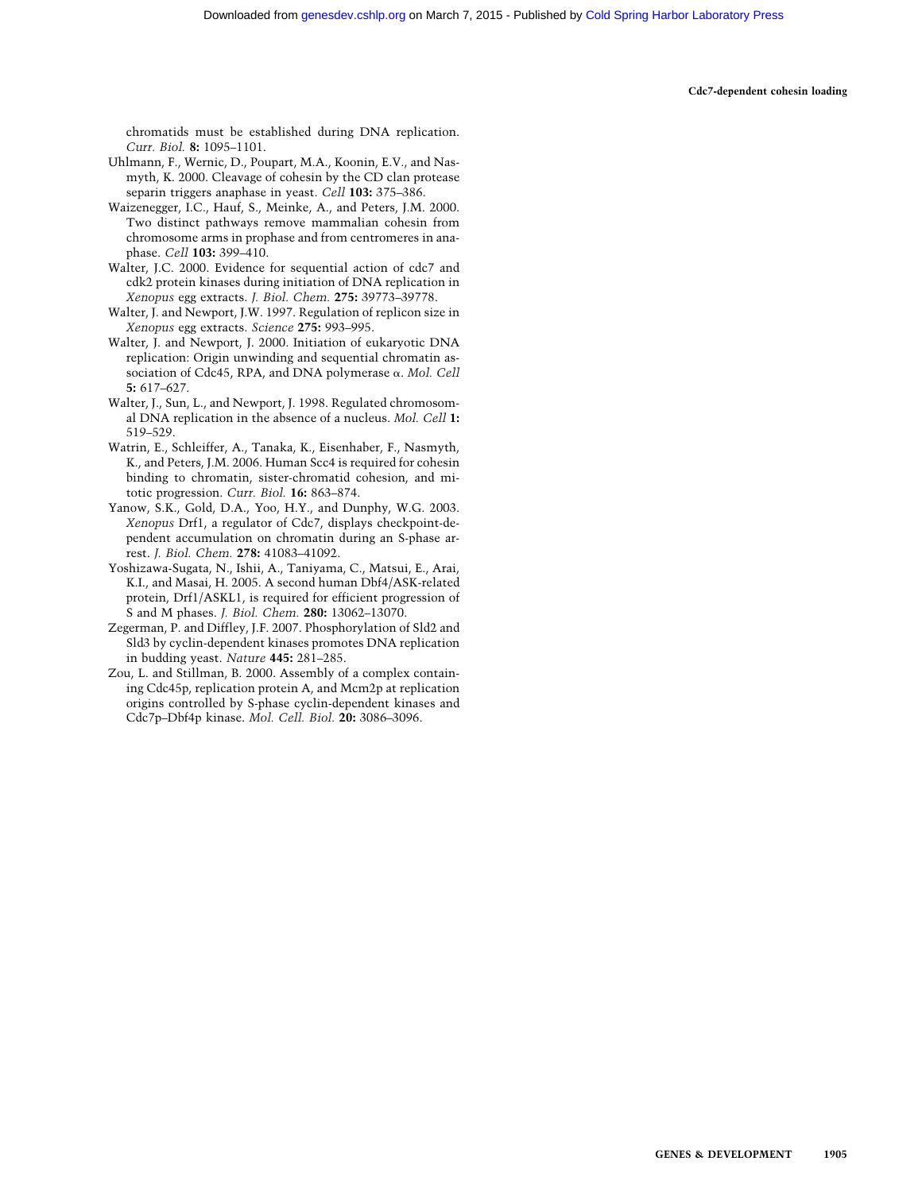**Cdc7-dependent cohesin loading**

chromatids must be established during DNA replication. *Curr. Biol.* **8:** 1095–1101.

- Uhlmann, F., Wernic, D., Poupart, M.A., Koonin, E.V., and Nasmyth, K. 2000. Cleavage of cohesin by the CD clan protease separin triggers anaphase in yeast. *Cell* **103:** 375–386.
- Waizenegger, I.C., Hauf, S., Meinke, A., and Peters, J.M. 2000. Two distinct pathways remove mammalian cohesin from chromosome arms in prophase and from centromeres in anaphase. *Cell* **103:** 399–410.
- Walter, J.C. 2000. Evidence for sequential action of cdc7 and cdk2 protein kinases during initiation of DNA replication in *Xenopus* egg extracts. *J. Biol. Chem.* **275:** 39773–39778.
- Walter, J. and Newport, J.W. 1997. Regulation of replicon size in *Xenopus* egg extracts. *Science* **275:** 993–995.
- Walter, J. and Newport, J. 2000. Initiation of eukaryotic DNA replication: Origin unwinding and sequential chromatin association of Cdc45, RPA, and DNA polymerase  $\alpha$ . *Mol. Cell* **5:** 617–627.
- Walter, J., Sun, L., and Newport, J. 1998. Regulated chromosomal DNA replication in the absence of a nucleus. *Mol. Cell* **1:** 519–529.
- Watrin, E., Schleiffer, A., Tanaka, K., Eisenhaber, F., Nasmyth, K., and Peters, J.M. 2006. Human Scc4 is required for cohesin binding to chromatin, sister-chromatid cohesion, and mitotic progression. *Curr. Biol.* **16:** 863–874.
- Yanow, S.K., Gold, D.A., Yoo, H.Y., and Dunphy, W.G. 2003. *Xenopus* Drf1, a regulator of Cdc7, displays checkpoint-dependent accumulation on chromatin during an S-phase arrest. *J. Biol. Chem.* **278:** 41083–41092.
- Yoshizawa-Sugata, N., Ishii, A., Taniyama, C., Matsui, E., Arai, K.I., and Masai, H. 2005. A second human Dbf4/ASK-related protein, Drf1/ASKL1, is required for efficient progression of S and M phases. *J. Biol. Chem.* **280:** 13062–13070.
- Zegerman, P. and Diffley, J.F. 2007. Phosphorylation of Sld2 and Sld3 by cyclin-dependent kinases promotes DNA replication in budding yeast. *Nature* **445:** 281–285.
- Zou, L. and Stillman, B. 2000. Assembly of a complex containing Cdc45p, replication protein A, and Mcm2p at replication origins controlled by S-phase cyclin-dependent kinases and Cdc7p–Dbf4p kinase. *Mol. Cell. Biol.* **20:** 3086–3096.